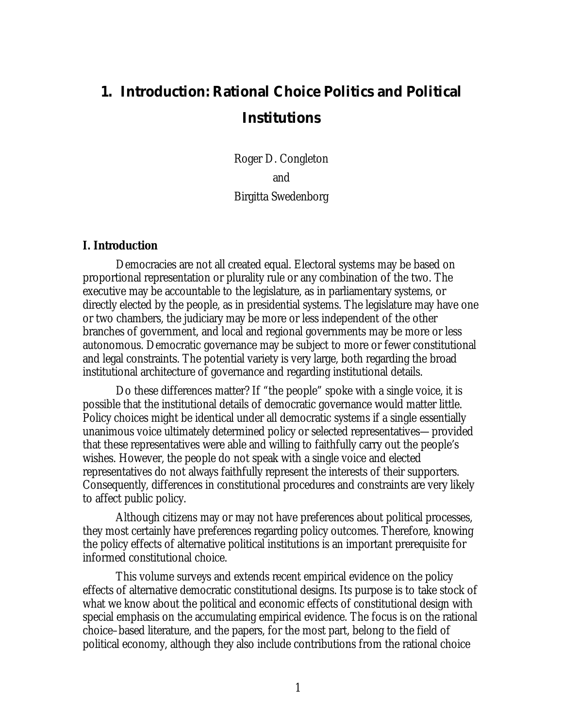# **1. Introduction: Rational Choice Politics and Political Institutions**

Roger D. Congleton and Birgitta Swedenborg

#### **I. Introduction**

Democracies are not all created equal. Electoral systems may be based on proportional representation or plurality rule or any combination of the two. The executive may be accountable to the legislature, as in parliamentary systems, or directly elected by the people, as in presidential systems. The legislature may have one or two chambers, the judiciary may be more or less independent of the other branches of government, and local and regional governments may be more or less autonomous. Democratic governance may be subject to more or fewer constitutional and legal constraints. The potential variety is very large, both regarding the broad institutional architecture of governance and regarding institutional details.

Do these differences matter? If "the people" spoke with a single voice, it is possible that the institutional details of democratic governance would matter little. Policy choices might be identical under all democratic systems if a single essentially unanimous voice ultimately determined policy or selected representatives—provided that these representatives were able and willing to faithfully carry out the people's wishes. However, the people do not speak with a single voice and elected representatives do not always faithfully represent the interests of their supporters. Consequently, differences in constitutional procedures and constraints are very likely to affect public policy.

Although citizens may or may not have preferences about political processes, they most certainly have preferences regarding policy outcomes. Therefore, knowing the policy effects of alternative political institutions is an important prerequisite for informed constitutional choice.

This volume surveys and extends recent empirical evidence on the policy effects of alternative democratic constitutional designs. Its purpose is to take stock of what we know about the political and economic effects of constitutional design with special emphasis on the accumulating empirical evidence. The focus is on the rational choice–based literature, and the papers, for the most part, belong to the field of political economy, although they also include contributions from the rational choice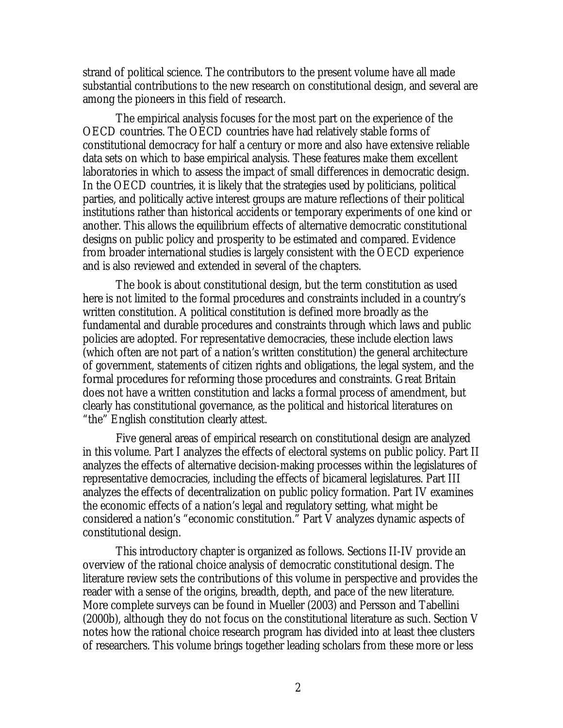strand of political science. The contributors to the present volume have all made substantial contributions to the new research on constitutional design, and several are among the pioneers in this field of research.

The empirical analysis focuses for the most part on the experience of the OECD countries. The OECD countries have had relatively stable forms of constitutional democracy for half a century or more and also have extensive reliable data sets on which to base empirical analysis. These features make them excellent laboratories in which to assess the impact of small differences in democratic design. In the OECD countries, it is likely that the strategies used by politicians, political parties, and politically active interest groups are mature reflections of their political institutions rather than historical accidents or temporary experiments of one kind or another. This allows the equilibrium effects of alternative democratic constitutional designs on public policy and prosperity to be estimated and compared. Evidence from broader international studies is largely consistent with the OECD experience and is also reviewed and extended in several of the chapters.

The book is about constitutional design, but the term constitution as used here is not limited to the formal procedures and constraints included in a country's written constitution. A political constitution is defined more broadly as the fundamental and durable procedures and constraints through which laws and public policies are adopted. For representative democracies, these include election laws (which often are not part of a nation's written constitution) the general architecture of government, statements of citizen rights and obligations, the legal system, and the formal procedures for reforming those procedures and constraints. Great Britain does not have a written constitution and lacks a formal process of amendment, but clearly has constitutional governance, as the political and historical literatures on "the" English constitution clearly attest.

Five general areas of empirical research on constitutional design are analyzed in this volume. Part I analyzes the effects of electoral systems on public policy. Part II analyzes the effects of alternative decision-making processes within the legislatures of representative democracies, including the effects of bicameral legislatures. Part III analyzes the effects of decentralization on public policy formation. Part IV examines the economic effects of a nation's legal and regulatory setting, what might be considered a nation's "economic constitution." Part V analyzes dynamic aspects of constitutional design.

This introductory chapter is organized as follows. Sections II-IV provide an overview of the rational choice analysis of democratic constitutional design. The literature review sets the contributions of this volume in perspective and provides the reader with a sense of the origins, breadth, depth, and pace of the new literature. More complete surveys can be found in Mueller (2003) and Persson and Tabellini (2000b), although they do not focus on the constitutional literature as such. Section V notes how the rational choice research program has divided into at least thee clusters of researchers. This volume brings together leading scholars from these more or less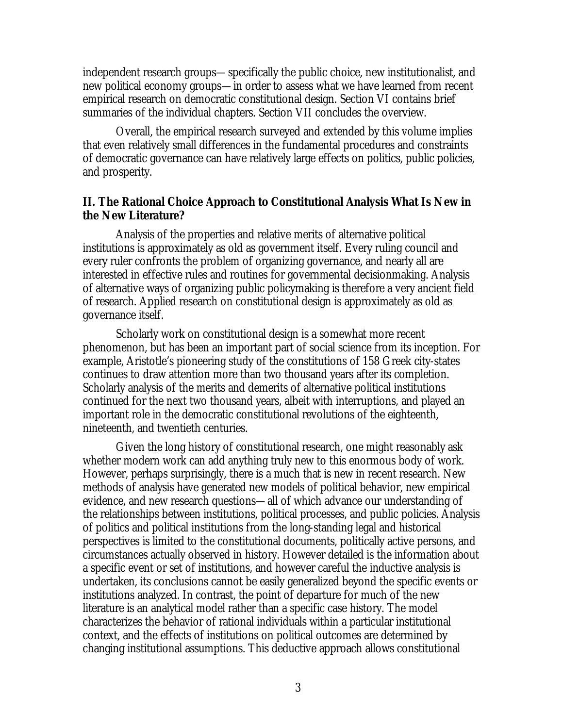independent research groups—specifically the public choice, new institutionalist, and new political economy groups—in order to assess what we have learned from recent empirical research on democratic constitutional design. Section VI contains brief summaries of the individual chapters. Section VII concludes the overview.

Overall, the empirical research surveyed and extended by this volume implies that even relatively small differences in the fundamental procedures and constraints of democratic governance can have relatively large effects on politics, public policies, and prosperity.

# **II. The Rational Choice Approach to Constitutional Analysis What Is New in the New Literature?**

Analysis of the properties and relative merits of alternative political institutions is approximately as old as government itself. Every ruling council and every ruler confronts the problem of organizing governance, and nearly all are interested in effective rules and routines for governmental decisionmaking. Analysis of alternative ways of organizing public policymaking is therefore a very ancient field of research. Applied research on constitutional design is approximately as old as governance itself.

Scholarly work on constitutional design is a somewhat more recent phenomenon, but has been an important part of social science from its inception. For example, Aristotle's pioneering study of the constitutions of 158 Greek city-states continues to draw attention more than two thousand years after its completion. Scholarly analysis of the merits and demerits of alternative political institutions continued for the next two thousand years, albeit with interruptions, and played an important role in the democratic constitutional revolutions of the eighteenth, nineteenth, and twentieth centuries.

Given the long history of constitutional research, one might reasonably ask whether modern work can add anything truly new to this enormous body of work. However, perhaps surprisingly, there is a much that is new in recent research. New methods of analysis have generated new models of political behavior, new empirical evidence, and new research questions—all of which advance our understanding of the relationships between institutions, political processes, and public policies. Analysis of politics and political institutions from the long-standing legal and historical perspectives is limited to the constitutional documents, politically active persons, and circumstances actually observed in history. However detailed is the information about a specific event or set of institutions, and however careful the inductive analysis is undertaken, its conclusions cannot be easily generalized beyond the specific events or institutions analyzed. In contrast, the point of departure for much of the new literature is an analytical model rather than a specific case history. The model characterizes the behavior of rational individuals within a particular institutional context, and the effects of institutions on political outcomes are determined by changing institutional assumptions. This deductive approach allows constitutional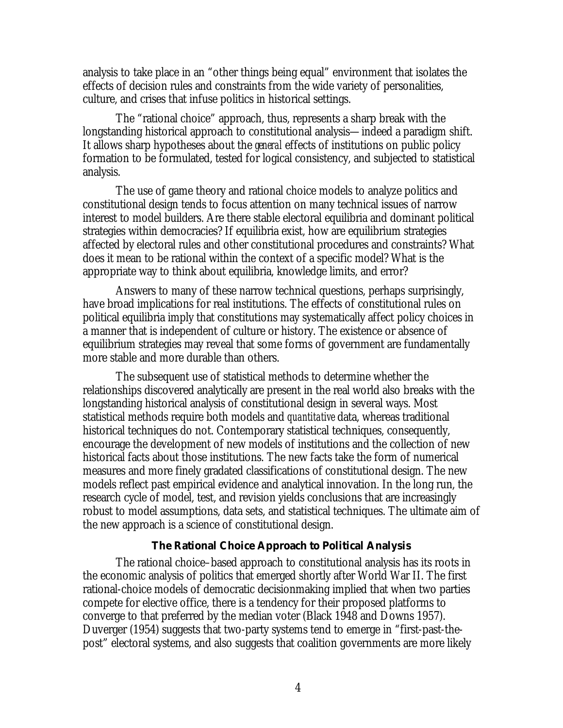analysis to take place in an "other things being equal" environment that isolates the effects of decision rules and constraints from the wide variety of personalities, culture, and crises that infuse politics in historical settings.

The "rational choice" approach, thus, represents a sharp break with the longstanding historical approach to constitutional analysis—indeed a paradigm shift. It allows sharp hypotheses about the *general* effects of institutions on public policy formation to be formulated, tested for logical consistency, and subjected to statistical analysis.

The use of game theory and rational choice models to analyze politics and constitutional design tends to focus attention on many technical issues of narrow interest to model builders. Are there stable electoral equilibria and dominant political strategies within democracies? If equilibria exist, how are equilibrium strategies affected by electoral rules and other constitutional procedures and constraints? What does it mean to be rational within the context of a specific model? What is the appropriate way to think about equilibria, knowledge limits, and error?

Answers to many of these narrow technical questions, perhaps surprisingly, have broad implications for real institutions. The effects of constitutional rules on political equilibria imply that constitutions may systematically affect policy choices in a manner that is independent of culture or history. The existence or absence of equilibrium strategies may reveal that some forms of government are fundamentally more stable and more durable than others.

The subsequent use of statistical methods to determine whether the relationships discovered analytically are present in the real world also breaks with the longstanding historical analysis of constitutional design in several ways. Most statistical methods require both models and *quantitative* data, whereas traditional historical techniques do not. Contemporary statistical techniques, consequently, encourage the development of new models of institutions and the collection of new historical facts about those institutions. The new facts take the form of numerical measures and more finely gradated classifications of constitutional design. The new models reflect past empirical evidence and analytical innovation. In the long run, the research cycle of model, test, and revision yields conclusions that are increasingly robust to model assumptions, data sets, and statistical techniques. The ultimate aim of the new approach is a science of constitutional design.

# **The Rational Choice Approach to Political Analysis**

The rational choice–based approach to constitutional analysis has its roots in the economic analysis of politics that emerged shortly after World War II. The first rational-choice models of democratic decisionmaking implied that when two parties compete for elective office, there is a tendency for their proposed platforms to converge to that preferred by the median voter (Black 1948 and Downs 1957). Duverger (1954) suggests that two-party systems tend to emerge in "first-past-thepost" electoral systems, and also suggests that coalition governments are more likely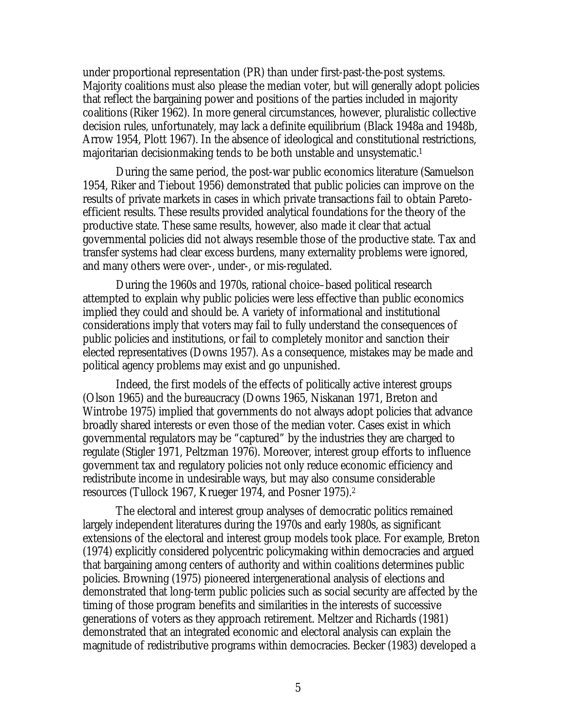under proportional representation (PR) than under first-past-the-post systems. Majority coalitions must also please the median voter, but will generally adopt policies that reflect the bargaining power and positions of the parties included in majority coalitions (Riker 1962). In more general circumstances, however, pluralistic collective decision rules, unfortunately, may lack a definite equilibrium (Black 1948a and 1948b, Arrow 1954, Plott 1967). In the absence of ideological and constitutional restrictions, majoritarian decisionmaking tends to be both unstable and unsystematic.<sup>1</sup>

During the same period, the post-war public economics literature (Samuelson 1954, Riker and Tiebout 1956) demonstrated that public policies can improve on the results of private markets in cases in which private transactions fail to obtain Paretoefficient results. These results provided analytical foundations for the theory of the productive state. These same results, however, also made it clear that actual governmental policies did not always resemble those of the productive state. Tax and transfer systems had clear excess burdens, many externality problems were ignored, and many others were over-, under-, or mis-regulated.

During the 1960s and 1970s, rational choice–based political research attempted to explain why public policies were less effective than public economics implied they could and should be. A variety of informational and institutional considerations imply that voters may fail to fully understand the consequences of public policies and institutions, or fail to completely monitor and sanction their elected representatives (Downs 1957). As a consequence, mistakes may be made and political agency problems may exist and go unpunished.

Indeed, the first models of the effects of politically active interest groups (Olson 1965) and the bureaucracy (Downs 1965, Niskanan 1971, Breton and Wintrobe 1975) implied that governments do not always adopt policies that advance broadly shared interests or even those of the median voter. Cases exist in which governmental regulators may be "captured" by the industries they are charged to regulate (Stigler 1971, Peltzman 1976). Moreover, interest group efforts to influence government tax and regulatory policies not only reduce economic efficiency and redistribute income in undesirable ways, but may also consume considerable resources (Tullock 1967, Krueger 1974, and Posner 1975).<sup>2</sup>

The electoral and interest group analyses of democratic politics remained largely independent literatures during the 1970s and early 1980s, as significant extensions of the electoral and interest group models took place. For example, Breton (1974) explicitly considered polycentric policymaking within democracies and argued that bargaining among centers of authority and within coalitions determines public policies. Browning (1975) pioneered intergenerational analysis of elections and demonstrated that long-term public policies such as social security are affected by the timing of those program benefits and similarities in the interests of successive generations of voters as they approach retirement. Meltzer and Richards (1981) demonstrated that an integrated economic and electoral analysis can explain the magnitude of redistributive programs within democracies. Becker (1983) developed a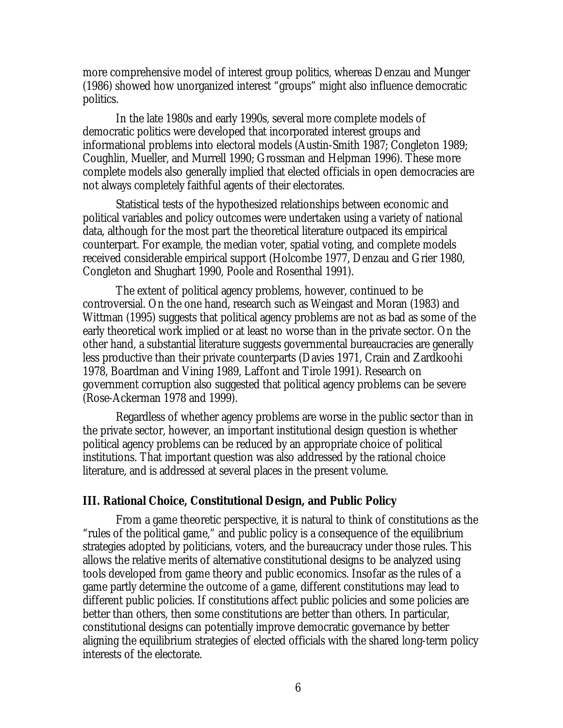more comprehensive model of interest group politics, whereas Denzau and Munger (1986) showed how unorganized interest "groups" might also influence democratic politics.

In the late 1980s and early 1990s, several more complete models of democratic politics were developed that incorporated interest groups and informational problems into electoral models (Austin-Smith 1987; Congleton 1989; Coughlin, Mueller, and Murrell 1990; Grossman and Helpman 1996). These more complete models also generally implied that elected officials in open democracies are not always completely faithful agents of their electorates.

Statistical tests of the hypothesized relationships between economic and political variables and policy outcomes were undertaken using a variety of national data, although for the most part the theoretical literature outpaced its empirical counterpart. For example, the median voter, spatial voting, and complete models received considerable empirical support (Holcombe 1977, Denzau and Grier 1980, Congleton and Shughart 1990, Poole and Rosenthal 1991).

The extent of political agency problems, however, continued to be controversial. On the one hand, research such as Weingast and Moran (1983) and Wittman (1995) suggests that political agency problems are not as bad as some of the early theoretical work implied or at least no worse than in the private sector. On the other hand, a substantial literature suggests governmental bureaucracies are generally less productive than their private counterparts (Davies 1971, Crain and Zardkoohi 1978, Boardman and Vining 1989, Laffont and Tirole 1991). Research on government corruption also suggested that political agency problems can be severe (Rose-Ackerman 1978 and 1999).

Regardless of whether agency problems are worse in the public sector than in the private sector, however, an important institutional design question is whether political agency problems can be reduced by an appropriate choice of political institutions. That important question was also addressed by the rational choice literature, and is addressed at several places in the present volume.

# **III. Rational Choice, Constitutional Design, and Public Policy**

From a game theoretic perspective, it is natural to think of constitutions as the "rules of the political game," and public policy is a consequence of the equilibrium strategies adopted by politicians, voters, and the bureaucracy under those rules. This allows the relative merits of alternative constitutional designs to be analyzed using tools developed from game theory and public economics. Insofar as the rules of a game partly determine the outcome of a game, different constitutions may lead to different public policies. If constitutions affect public policies and some policies are better than others, then some constitutions are better than others. In particular, constitutional designs can potentially improve democratic governance by better aligning the equilibrium strategies of elected officials with the shared long-term policy interests of the electorate.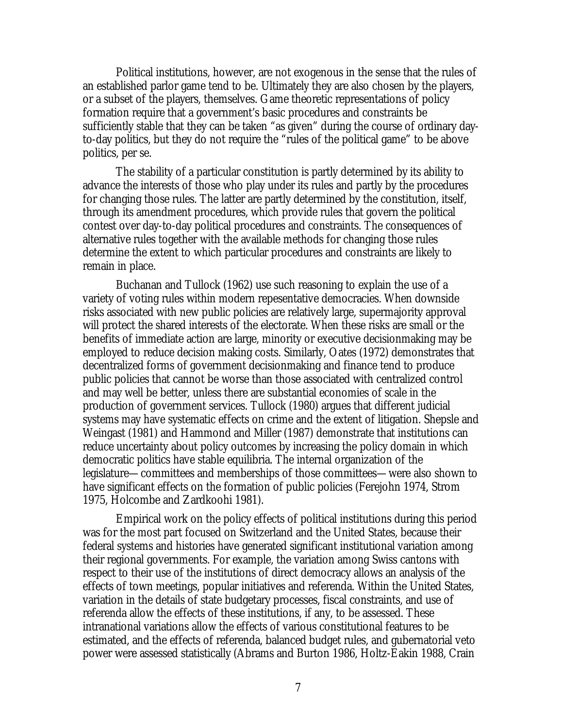Political institutions, however, are not exogenous in the sense that the rules of an established parlor game tend to be. Ultimately they are also chosen by the players, or a subset of the players, themselves. Game theoretic representations of policy formation require that a government's basic procedures and constraints be sufficiently stable that they can be taken "as given" during the course of ordinary dayto-day politics, but they do not require the "rules of the political game" to be above politics, per se.

The stability of a particular constitution is partly determined by its ability to advance the interests of those who play under its rules and partly by the procedures for changing those rules. The latter are partly determined by the constitution, itself, through its amendment procedures, which provide rules that govern the political contest over day-to-day political procedures and constraints. The consequences of alternative rules together with the available methods for changing those rules determine the extent to which particular procedures and constraints are likely to remain in place.

Buchanan and Tullock (1962) use such reasoning to explain the use of a variety of voting rules within modern repesentative democracies. When downside risks associated with new public policies are relatively large, supermajority approval will protect the shared interests of the electorate. When these risks are small or the benefits of immediate action are large, minority or executive decisionmaking may be employed to reduce decision making costs. Similarly, Oates (1972) demonstrates that decentralized forms of government decisionmaking and finance tend to produce public policies that cannot be worse than those associated with centralized control and may well be better, unless there are substantial economies of scale in the production of government services. Tullock (1980) argues that different judicial systems may have systematic effects on crime and the extent of litigation. Shepsle and Weingast (1981) and Hammond and Miller (1987) demonstrate that institutions can reduce uncertainty about policy outcomes by increasing the policy domain in which democratic politics have stable equilibria. The internal organization of the legislature—committees and memberships of those committees—were also shown to have significant effects on the formation of public policies (Ferejohn 1974, Strom 1975, Holcombe and Zardkoohi 1981).

Empirical work on the policy effects of political institutions during this period was for the most part focused on Switzerland and the United States, because their federal systems and histories have generated significant institutional variation among their regional governments. For example, the variation among Swiss cantons with respect to their use of the institutions of direct democracy allows an analysis of the effects of town meetings, popular initiatives and referenda. Within the United States, variation in the details of state budgetary processes, fiscal constraints, and use of referenda allow the effects of these institutions, if any, to be assessed. These intranational variations allow the effects of various constitutional features to be estimated, and the effects of referenda, balanced budget rules, and gubernatorial veto power were assessed statistically (Abrams and Burton 1986, Holtz-Eakin 1988, Crain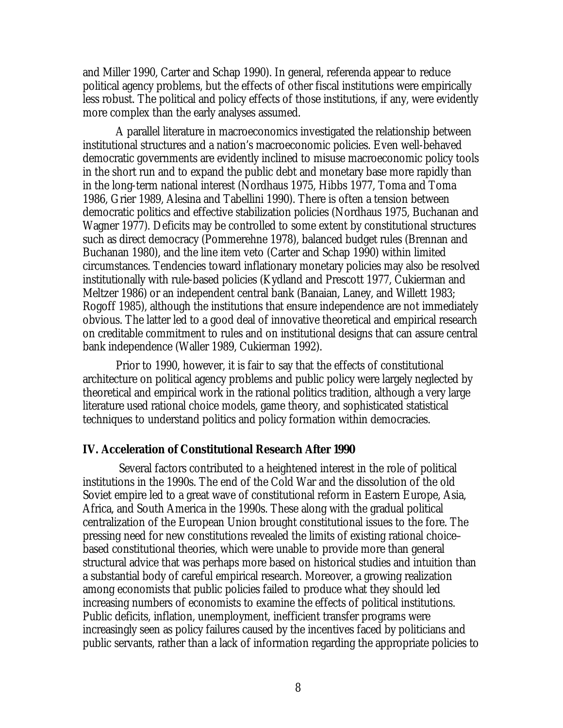and Miller 1990, Carter and Schap 1990). In general, referenda appear to reduce political agency problems, but the effects of other fiscal institutions were empirically less robust. The political and policy effects of those institutions, if any, were evidently more complex than the early analyses assumed.

A parallel literature in macroeconomics investigated the relationship between institutional structures and a nation's macroeconomic policies. Even well-behaved democratic governments are evidently inclined to misuse macroeconomic policy tools in the short run and to expand the public debt and monetary base more rapidly than in the long-term national interest (Nordhaus 1975, Hibbs 1977, Toma and Toma 1986, Grier 1989, Alesina and Tabellini 1990). There is often a tension between democratic politics and effective stabilization policies (Nordhaus 1975, Buchanan and Wagner 1977). Deficits may be controlled to some extent by constitutional structures such as direct democracy (Pommerehne 1978), balanced budget rules (Brennan and Buchanan 1980), and the line item veto (Carter and Schap 1990) within limited circumstances. Tendencies toward inflationary monetary policies may also be resolved institutionally with rule-based policies (Kydland and Prescott 1977, Cukierman and Meltzer 1986) or an independent central bank (Banaian, Laney, and Willett 1983; Rogoff 1985), although the institutions that ensure independence are not immediately obvious. The latter led to a good deal of innovative theoretical and empirical research on creditable commitment to rules and on institutional designs that can assure central bank independence (Waller 1989, Cukierman 1992).

Prior to 1990, however, it is fair to say that the effects of constitutional architecture on political agency problems and public policy were largely neglected by theoretical and empirical work in the rational politics tradition, although a very large literature used rational choice models, game theory, and sophisticated statistical techniques to understand politics and policy formation within democracies.

## **IV. Acceleration of Constitutional Research After 1990**

 Several factors contributed to a heightened interest in the role of political institutions in the 1990s. The end of the Cold War and the dissolution of the old Soviet empire led to a great wave of constitutional reform in Eastern Europe, Asia, Africa, and South America in the 1990s. These along with the gradual political centralization of the European Union brought constitutional issues to the fore. The pressing need for new constitutions revealed the limits of existing rational choice– based constitutional theories, which were unable to provide more than general structural advice that was perhaps more based on historical studies and intuition than a substantial body of careful empirical research. Moreover, a growing realization among economists that public policies failed to produce what they should led increasing numbers of economists to examine the effects of political institutions. Public deficits, inflation, unemployment, inefficient transfer programs were increasingly seen as policy failures caused by the incentives faced by politicians and public servants, rather than a lack of information regarding the appropriate policies to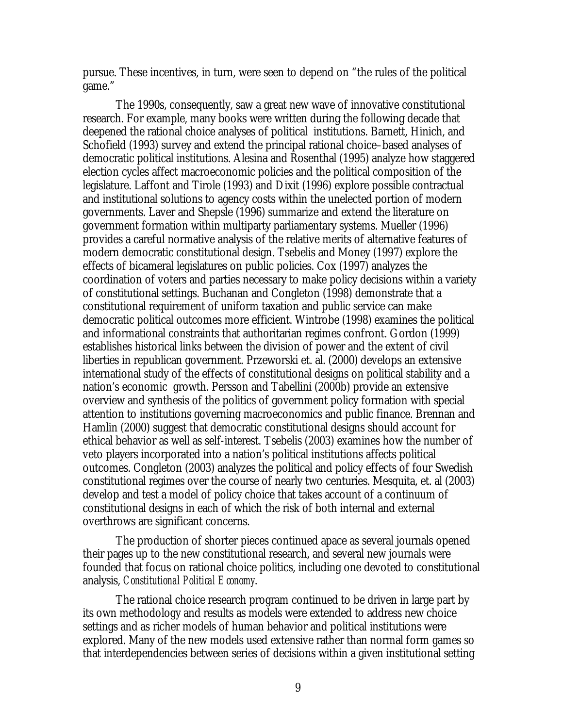pursue. These incentives, in turn, were seen to depend on "the rules of the political game."

The 1990s, consequently, saw a great new wave of innovative constitutional research. For example, many books were written during the following decade that deepened the rational choice analyses of political institutions. Barnett, Hinich, and Schofield (1993) survey and extend the principal rational choice–based analyses of democratic political institutions. Alesina and Rosenthal (1995) analyze how staggered election cycles affect macroeconomic policies and the political composition of the legislature. Laffont and Tirole (1993) and Dixit (1996) explore possible contractual and institutional solutions to agency costs within the unelected portion of modern governments. Laver and Shepsle (1996) summarize and extend the literature on government formation within multiparty parliamentary systems. Mueller (1996) provides a careful normative analysis of the relative merits of alternative features of modern democratic constitutional design. Tsebelis and Money (1997) explore the effects of bicameral legislatures on public policies. Cox (1997) analyzes the coordination of voters and parties necessary to make policy decisions within a variety of constitutional settings. Buchanan and Congleton (1998) demonstrate that a constitutional requirement of uniform taxation and public service can make democratic political outcomes more efficient. Wintrobe (1998) examines the political and informational constraints that authoritarian regimes confront. Gordon (1999) establishes historical links between the division of power and the extent of civil liberties in republican government. Przeworski et. al. (2000) develops an extensive international study of the effects of constitutional designs on political stability and a nation's economic growth. Persson and Tabellini (2000b) provide an extensive overview and synthesis of the politics of government policy formation with special attention to institutions governing macroeconomics and public finance. Brennan and Hamlin (2000) suggest that democratic constitutional designs should account for ethical behavior as well as self-interest. Tsebelis (2003) examines how the number of veto players incorporated into a nation's political institutions affects political outcomes. Congleton (2003) analyzes the political and policy effects of four Swedish constitutional regimes over the course of nearly two centuries. Mesquita, et. al (2003) develop and test a model of policy choice that takes account of a continuum of constitutional designs in each of which the risk of both internal and external overthrows are significant concerns.

The production of shorter pieces continued apace as several journals opened their pages up to the new constitutional research, and several new journals were founded that focus on rational choice politics, including one devoted to constitutional analysis, *Constitutional Political Economy*.

The rational choice research program continued to be driven in large part by its own methodology and results as models were extended to address new choice settings and as richer models of human behavior and political institutions were explored. Many of the new models used extensive rather than normal form games so that interdependencies between series of decisions within a given institutional setting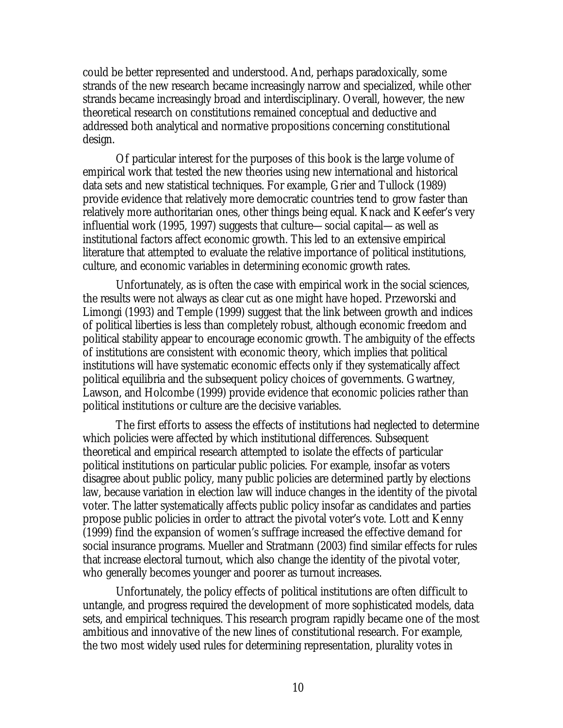could be better represented and understood. And, perhaps paradoxically, some strands of the new research became increasingly narrow and specialized, while other strands became increasingly broad and interdisciplinary. Overall, however, the new theoretical research on constitutions remained conceptual and deductive and addressed both analytical and normative propositions concerning constitutional design.

Of particular interest for the purposes of this book is the large volume of empirical work that tested the new theories using new international and historical data sets and new statistical techniques. For example, Grier and Tullock (1989) provide evidence that relatively more democratic countries tend to grow faster than relatively more authoritarian ones, other things being equal. Knack and Keefer's very influential work (1995, 1997) suggests that culture—social capital—as well as institutional factors affect economic growth. This led to an extensive empirical literature that attempted to evaluate the relative importance of political institutions, culture, and economic variables in determining economic growth rates.

Unfortunately, as is often the case with empirical work in the social sciences, the results were not always as clear cut as one might have hoped. Przeworski and Limongi (1993) and Temple (1999) suggest that the link between growth and indices of political liberties is less than completely robust, although economic freedom and political stability appear to encourage economic growth. The ambiguity of the effects of institutions are consistent with economic theory, which implies that political institutions will have systematic economic effects only if they systematically affect political equilibria and the subsequent policy choices of governments. Gwartney, Lawson, and Holcombe (1999) provide evidence that economic policies rather than political institutions or culture are the decisive variables.

The first efforts to assess the effects of institutions had neglected to determine which policies were affected by which institutional differences. Subsequent theoretical and empirical research attempted to isolate the effects of particular political institutions on particular public policies. For example, insofar as voters disagree about public policy, many public policies are determined partly by elections law, because variation in election law will induce changes in the identity of the pivotal voter. The latter systematically affects public policy insofar as candidates and parties propose public policies in order to attract the pivotal voter's vote. Lott and Kenny (1999) find the expansion of women's suffrage increased the effective demand for social insurance programs. Mueller and Stratmann (2003) find similar effects for rules that increase electoral turnout, which also change the identity of the pivotal voter, who generally becomes younger and poorer as turnout increases.

Unfortunately, the policy effects of political institutions are often difficult to untangle, and progress required the development of more sophisticated models, data sets, and empirical techniques. This research program rapidly became one of the most ambitious and innovative of the new lines of constitutional research. For example, the two most widely used rules for determining representation, plurality votes in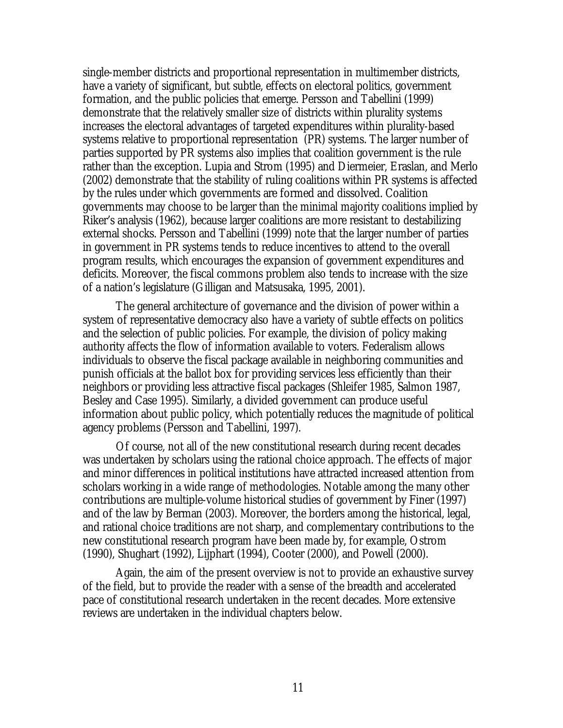single-member districts and proportional representation in multimember districts, have a variety of significant, but subtle, effects on electoral politics, government formation, and the public policies that emerge. Persson and Tabellini (1999) demonstrate that the relatively smaller size of districts within plurality systems increases the electoral advantages of targeted expenditures within plurality-based systems relative to proportional representation (PR) systems. The larger number of parties supported by PR systems also implies that coalition government is the rule rather than the exception. Lupia and Strom (1995) and Diermeier, Eraslan, and Merlo (2002) demonstrate that the stability of ruling coalitions within PR systems is affected by the rules under which governments are formed and dissolved. Coalition governments may choose to be larger than the minimal majority coalitions implied by Riker's analysis (1962), because larger coalitions are more resistant to destabilizing external shocks. Persson and Tabellini (1999) note that the larger number of parties in government in PR systems tends to reduce incentives to attend to the overall program results, which encourages the expansion of government expenditures and deficits. Moreover, the fiscal commons problem also tends to increase with the size of a nation's legislature (Gilligan and Matsusaka, 1995, 2001).

The general architecture of governance and the division of power within a system of representative democracy also have a variety of subtle effects on politics and the selection of public policies. For example, the division of policy making authority affects the flow of information available to voters. Federalism allows individuals to observe the fiscal package available in neighboring communities and punish officials at the ballot box for providing services less efficiently than their neighbors or providing less attractive fiscal packages (Shleifer 1985, Salmon 1987, Besley and Case 1995). Similarly, a divided government can produce useful information about public policy, which potentially reduces the magnitude of political agency problems (Persson and Tabellini, 1997).

Of course, not all of the new constitutional research during recent decades was undertaken by scholars using the rational choice approach. The effects of major and minor differences in political institutions have attracted increased attention from scholars working in a wide range of methodologies. Notable among the many other contributions are multiple-volume historical studies of government by Finer (1997) and of the law by Berman (2003). Moreover, the borders among the historical, legal, and rational choice traditions are not sharp, and complementary contributions to the new constitutional research program have been made by, for example, Ostrom (1990), Shughart (1992), Lijphart (1994), Cooter (2000), and Powell (2000).

Again, the aim of the present overview is not to provide an exhaustive survey of the field, but to provide the reader with a sense of the breadth and accelerated pace of constitutional research undertaken in the recent decades. More extensive reviews are undertaken in the individual chapters below.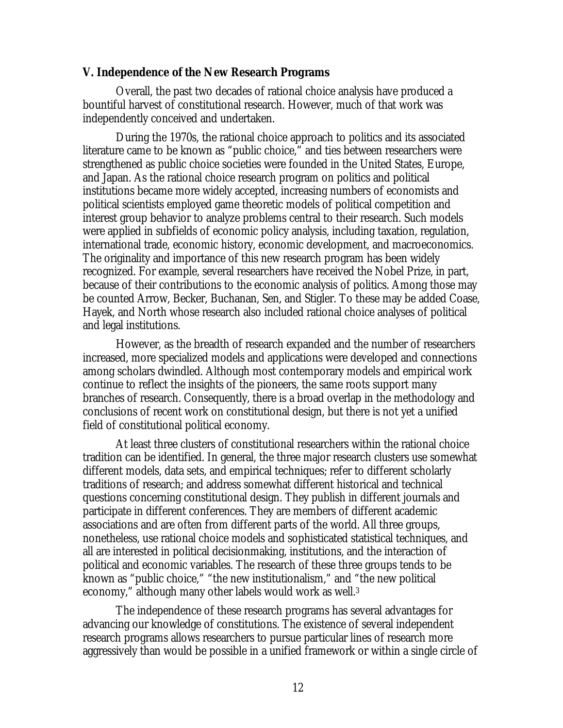# **V. Independence of the New Research Programs**

Overall, the past two decades of rational choice analysis have produced a bountiful harvest of constitutional research. However, much of that work was independently conceived and undertaken.

During the 1970s, the rational choice approach to politics and its associated literature came to be known as "public choice," and ties between researchers were strengthened as public choice societies were founded in the United States, Europe, and Japan. As the rational choice research program on politics and political institutions became more widely accepted, increasing numbers of economists and political scientists employed game theoretic models of political competition and interest group behavior to analyze problems central to their research. Such models were applied in subfields of economic policy analysis, including taxation, regulation, international trade, economic history, economic development, and macroeconomics. The originality and importance of this new research program has been widely recognized. For example, several researchers have received the Nobel Prize, in part, because of their contributions to the economic analysis of politics. Among those may be counted Arrow, Becker, Buchanan, Sen, and Stigler. To these may be added Coase, Hayek, and North whose research also included rational choice analyses of political and legal institutions.

However, as the breadth of research expanded and the number of researchers increased, more specialized models and applications were developed and connections among scholars dwindled. Although most contemporary models and empirical work continue to reflect the insights of the pioneers, the same roots support many branches of research. Consequently, there is a broad overlap in the methodology and conclusions of recent work on constitutional design, but there is not yet a unified field of constitutional political economy.

At least three clusters of constitutional researchers within the rational choice tradition can be identified. In general, the three major research clusters use somewhat different models, data sets, and empirical techniques; refer to different scholarly traditions of research; and address somewhat different historical and technical questions concerning constitutional design. They publish in different journals and participate in different conferences. They are members of different academic associations and are often from different parts of the world. All three groups, nonetheless, use rational choice models and sophisticated statistical techniques, and all are interested in political decisionmaking, institutions, and the interaction of political and economic variables. The research of these three groups tends to be known as "public choice," "the new institutionalism," and "the new political economy," although many other labels would work as well.<sup>3</sup>

The independence of these research programs has several advantages for advancing our knowledge of constitutions. The existence of several independent research programs allows researchers to pursue particular lines of research more aggressively than would be possible in a unified framework or within a single circle of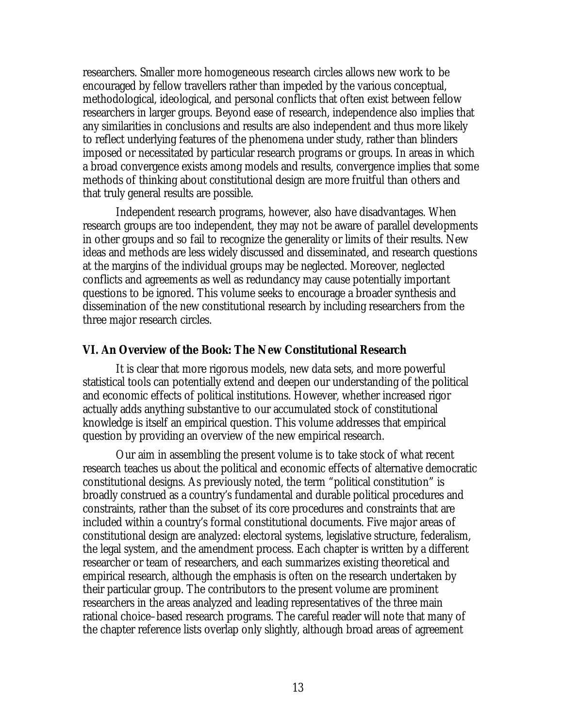researchers. Smaller more homogeneous research circles allows new work to be encouraged by fellow travellers rather than impeded by the various conceptual, methodological, ideological, and personal conflicts that often exist between fellow researchers in larger groups. Beyond ease of research, independence also implies that any similarities in conclusions and results are also independent and thus more likely to reflect underlying features of the phenomena under study, rather than blinders imposed or necessitated by particular research programs or groups. In areas in which a broad convergence exists among models and results, convergence implies that some methods of thinking about constitutional design are more fruitful than others and that truly general results are possible.

Independent research programs, however, also have disadvantages. When research groups are too independent, they may not be aware of parallel developments in other groups and so fail to recognize the generality or limits of their results. New ideas and methods are less widely discussed and disseminated, and research questions at the margins of the individual groups may be neglected. Moreover, neglected conflicts and agreements as well as redundancy may cause potentially important questions to be ignored. This volume seeks to encourage a broader synthesis and dissemination of the new constitutional research by including researchers from the three major research circles.

# **VI. An Overview of the Book: The New Constitutional Research**

It is clear that more rigorous models, new data sets, and more powerful statistical tools can potentially extend and deepen our understanding of the political and economic effects of political institutions. However, whether increased rigor actually adds anything substantive to our accumulated stock of constitutional knowledge is itself an empirical question. This volume addresses that empirical question by providing an overview of the new empirical research.

Our aim in assembling the present volume is to take stock of what recent research teaches us about the political and economic effects of alternative democratic constitutional designs. As previously noted, the term "political constitution" is broadly construed as a country's fundamental and durable political procedures and constraints, rather than the subset of its core procedures and constraints that are included within a country's formal constitutional documents. Five major areas of constitutional design are analyzed: electoral systems, legislative structure, federalism, the legal system, and the amendment process. Each chapter is written by a different researcher or team of researchers, and each summarizes existing theoretical and empirical research, although the emphasis is often on the research undertaken by their particular group. The contributors to the present volume are prominent researchers in the areas analyzed and leading representatives of the three main rational choice–based research programs. The careful reader will note that many of the chapter reference lists overlap only slightly, although broad areas of agreement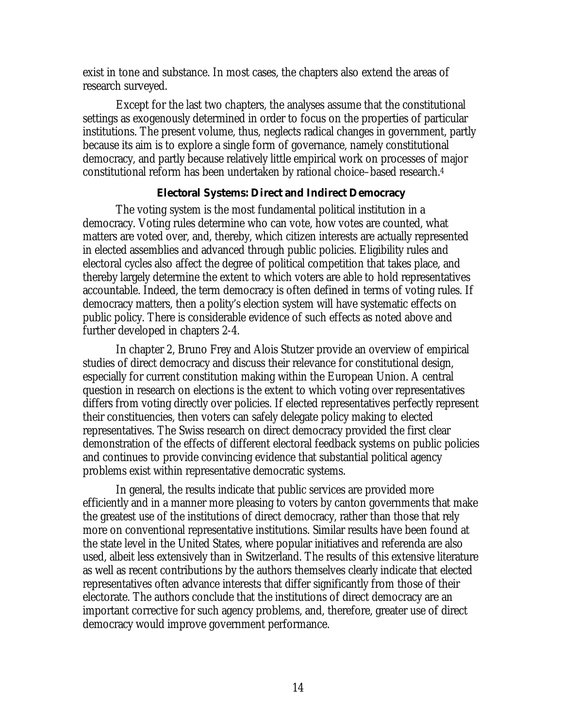exist in tone and substance. In most cases, the chapters also extend the areas of research surveyed.

Except for the last two chapters, the analyses assume that the constitutional settings as exogenously determined in order to focus on the properties of particular institutions. The present volume, thus, neglects radical changes in government, partly because its aim is to explore a single form of governance, namely constitutional democracy, and partly because relatively little empirical work on processes of major constitutional reform has been undertaken by rational choice–based research. 4

# **Electoral Systems: Direct and Indirect Democracy**

The voting system is the most fundamental political institution in a democracy. Voting rules determine who can vote, how votes are counted, what matters are voted over, and, thereby, which citizen interests are actually represented in elected assemblies and advanced through public policies. Eligibility rules and electoral cycles also affect the degree of political competition that takes place, and thereby largely determine the extent to which voters are able to hold representatives accountable. Indeed, the term democracy is often defined in terms of voting rules. If democracy matters, then a polity's election system will have systematic effects on public policy. There is considerable evidence of such effects as noted above and further developed in chapters 2-4.

In chapter 2, Bruno Frey and Alois Stutzer provide an overview of empirical studies of direct democracy and discuss their relevance for constitutional design, especially for current constitution making within the European Union. A central question in research on elections is the extent to which voting over representatives differs from voting directly over policies. If elected representatives perfectly represent their constituencies, then voters can safely delegate policy making to elected representatives. The Swiss research on direct democracy provided the first clear demonstration of the effects of different electoral feedback systems on public policies and continues to provide convincing evidence that substantial political agency problems exist within representative democratic systems.

In general, the results indicate that public services are provided more efficiently and in a manner more pleasing to voters by canton governments that make the greatest use of the institutions of direct democracy, rather than those that rely more on conventional representative institutions. Similar results have been found at the state level in the United States, where popular initiatives and referenda are also used, albeit less extensively than in Switzerland. The results of this extensive literature as well as recent contributions by the authors themselves clearly indicate that elected representatives often advance interests that differ significantly from those of their electorate. The authors conclude that the institutions of direct democracy are an important corrective for such agency problems, and, therefore, greater use of direct democracy would improve government performance.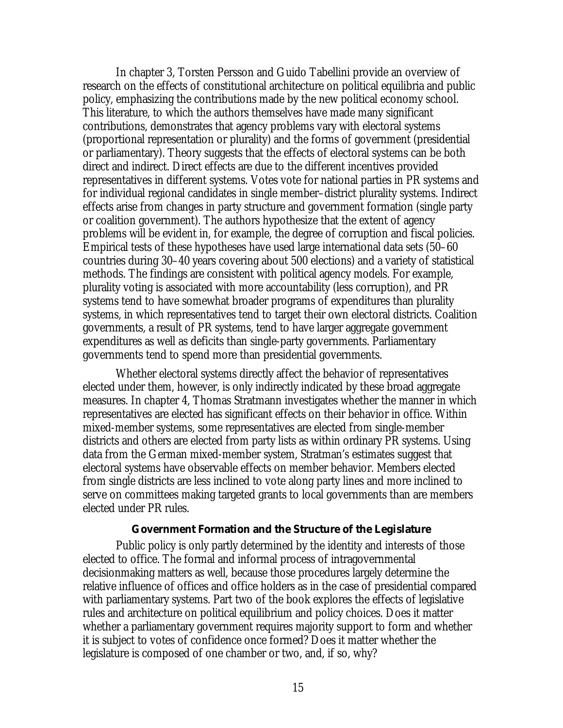In chapter 3, Torsten Persson and Guido Tabellini provide an overview of research on the effects of constitutional architecture on political equilibria and public policy, emphasizing the contributions made by the new political economy school. This literature, to which the authors themselves have made many significant contributions, demonstrates that agency problems vary with electoral systems (proportional representation or plurality) and the forms of government (presidential or parliamentary). Theory suggests that the effects of electoral systems can be both direct and indirect. Direct effects are due to the different incentives provided representatives in different systems. Votes vote for national parties in PR systems and for individual regional candidates in single member–district plurality systems. Indirect effects arise from changes in party structure and government formation (single party or coalition government). The authors hypothesize that the extent of agency problems will be evident in, for example, the degree of corruption and fiscal policies. Empirical tests of these hypotheses have used large international data sets (50–60 countries during 30–40 years covering about 500 elections) and a variety of statistical methods. The findings are consistent with political agency models. For example, plurality voting is associated with more accountability (less corruption), and PR systems tend to have somewhat broader programs of expenditures than plurality systems, in which representatives tend to target their own electoral districts. Coalition governments, a result of PR systems, tend to have larger aggregate government expenditures as well as deficits than single-party governments. Parliamentary governments tend to spend more than presidential governments.

Whether electoral systems directly affect the behavior of representatives elected under them, however, is only indirectly indicated by these broad aggregate measures. In chapter 4, Thomas Stratmann investigates whether the manner in which representatives are elected has significant effects on their behavior in office. Within mixed-member systems, some representatives are elected from single-member districts and others are elected from party lists as within ordinary PR systems. Using data from the German mixed-member system, Stratman's estimates suggest that electoral systems have observable effects on member behavior. Members elected from single districts are less inclined to vote along party lines and more inclined to serve on committees making targeted grants to local governments than are members elected under PR rules.

#### **Government Formation and the Structure of the Legislature**

Public policy is only partly determined by the identity and interests of those elected to office. The formal and informal process of intragovernmental decisionmaking matters as well, because those procedures largely determine the relative influence of offices and office holders as in the case of presidential compared with parliamentary systems. Part two of the book explores the effects of legislative rules and architecture on political equilibrium and policy choices. Does it matter whether a parliamentary government requires majority support to form and whether it is subject to votes of confidence once formed? Does it matter whether the legislature is composed of one chamber or two, and, if so, why?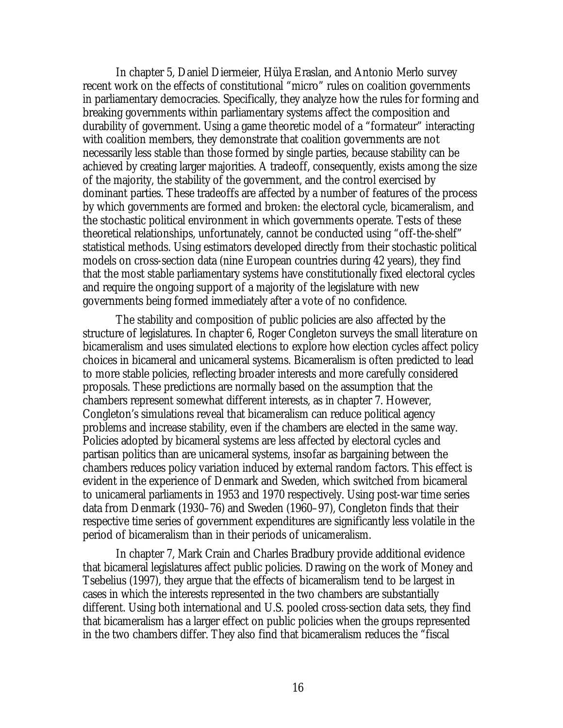In chapter 5, Daniel Diermeier, Hülya Eraslan, and Antonio Merlo survey recent work on the effects of constitutional "micro" rules on coalition governments in parliamentary democracies. Specifically, they analyze how the rules for forming and breaking governments within parliamentary systems affect the composition and durability of government. Using a game theoretic model of a "formateur" interacting with coalition members, they demonstrate that coalition governments are not necessarily less stable than those formed by single parties, because stability can be achieved by creating larger majorities. A tradeoff, consequently, exists among the size of the majority, the stability of the government, and the control exercised by dominant parties. These tradeoffs are affected by a number of features of the process by which governments are formed and broken: the electoral cycle, bicameralism, and the stochastic political environment in which governments operate. Tests of these theoretical relationships, unfortunately, cannot be conducted using "off-the-shelf" statistical methods. Using estimators developed directly from their stochastic political models on cross-section data (nine European countries during 42 years), they find that the most stable parliamentary systems have constitutionally fixed electoral cycles and require the ongoing support of a majority of the legislature with new governments being formed immediately after a vote of no confidence.

The stability and composition of public policies are also affected by the structure of legislatures. In chapter 6, Roger Congleton surveys the small literature on bicameralism and uses simulated elections to explore how election cycles affect policy choices in bicameral and unicameral systems. Bicameralism is often predicted to lead to more stable policies, reflecting broader interests and more carefully considered proposals. These predictions are normally based on the assumption that the chambers represent somewhat different interests, as in chapter 7. However, Congleton's simulations reveal that bicameralism can reduce political agency problems and increase stability, even if the chambers are elected in the same way. Policies adopted by bicameral systems are less affected by electoral cycles and partisan politics than are unicameral systems, insofar as bargaining between the chambers reduces policy variation induced by external random factors. This effect is evident in the experience of Denmark and Sweden, which switched from bicameral to unicameral parliaments in 1953 and 1970 respectively. Using post-war time series data from Denmark (1930–76) and Sweden (1960–97), Congleton finds that their respective time series of government expenditures are significantly less volatile in the period of bicameralism than in their periods of unicameralism.

In chapter 7, Mark Crain and Charles Bradbury provide additional evidence that bicameral legislatures affect public policies. Drawing on the work of Money and Tsebelius (1997), they argue that the effects of bicameralism tend to be largest in cases in which the interests represented in the two chambers are substantially different. Using both international and U.S. pooled cross-section data sets, they find that bicameralism has a larger effect on public policies when the groups represented in the two chambers differ. They also find that bicameralism reduces the "fiscal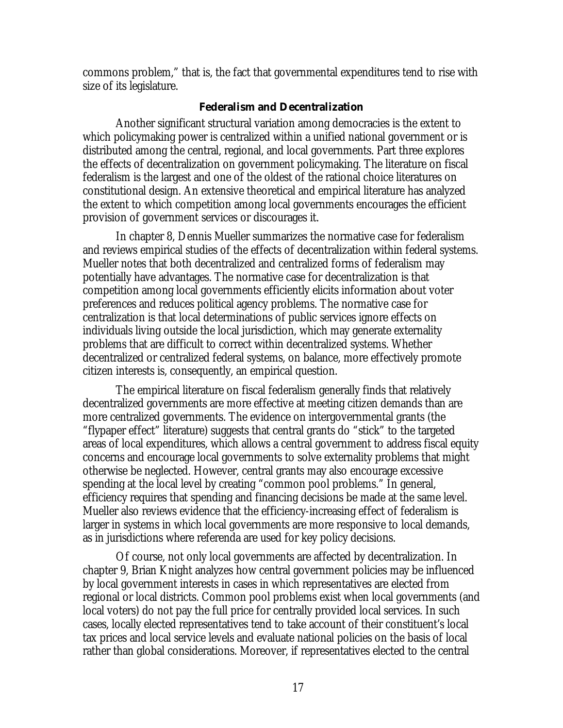commons problem," that is, the fact that governmental expenditures tend to rise with size of its legislature.

# **Federalism and Decentralization**

Another significant structural variation among democracies is the extent to which policymaking power is centralized within a unified national government or is distributed among the central, regional, and local governments. Part three explores the effects of decentralization on government policymaking. The literature on fiscal federalism is the largest and one of the oldest of the rational choice literatures on constitutional design. An extensive theoretical and empirical literature has analyzed the extent to which competition among local governments encourages the efficient provision of government services or discourages it.

In chapter 8, Dennis Mueller summarizes the normative case for federalism and reviews empirical studies of the effects of decentralization within federal systems. Mueller notes that both decentralized and centralized forms of federalism may potentially have advantages. The normative case for decentralization is that competition among local governments efficiently elicits information about voter preferences and reduces political agency problems. The normative case for centralization is that local determinations of public services ignore effects on individuals living outside the local jurisdiction, which may generate externality problems that are difficult to correct within decentralized systems. Whether decentralized or centralized federal systems, on balance, more effectively promote citizen interests is, consequently, an empirical question.

The empirical literature on fiscal federalism generally finds that relatively decentralized governments are more effective at meeting citizen demands than are more centralized governments. The evidence on intergovernmental grants (the "flypaper effect" literature) suggests that central grants do "stick" to the targeted areas of local expenditures, which allows a central government to address fiscal equity concerns and encourage local governments to solve externality problems that might otherwise be neglected. However, central grants may also encourage excessive spending at the local level by creating "common pool problems." In general, efficiency requires that spending and financing decisions be made at the same level. Mueller also reviews evidence that the efficiency-increasing effect of federalism is larger in systems in which local governments are more responsive to local demands, as in jurisdictions where referenda are used for key policy decisions.

Of course, not only local governments are affected by decentralization. In chapter 9, Brian Knight analyzes how central government policies may be influenced by local government interests in cases in which representatives are elected from regional or local districts. Common pool problems exist when local governments (and local voters) do not pay the full price for centrally provided local services. In such cases, locally elected representatives tend to take account of their constituent's local tax prices and local service levels and evaluate national policies on the basis of local rather than global considerations. Moreover, if representatives elected to the central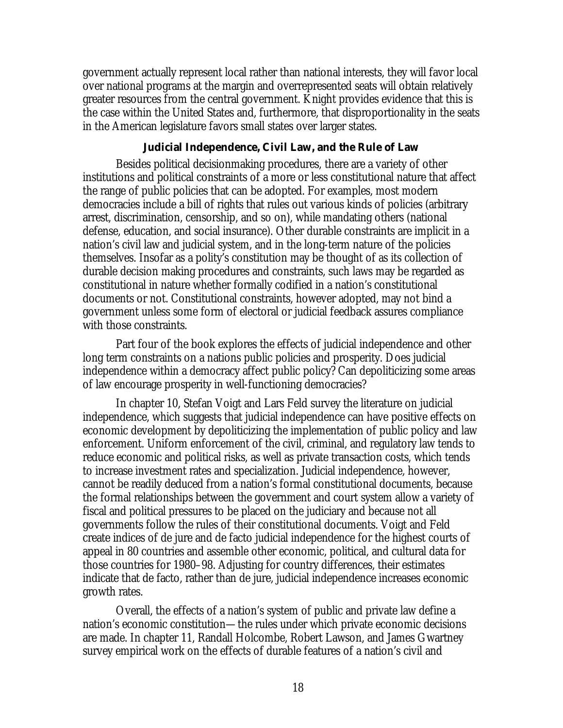government actually represent local rather than national interests, they will favor local over national programs at the margin and overrepresented seats will obtain relatively greater resources from the central government. Knight provides evidence that this is the case within the United States and, furthermore, that disproportionality in the seats in the American legislature favors small states over larger states.

# **Judicial Independence, Civil Law, and the Rule of Law**

Besides political decisionmaking procedures, there are a variety of other institutions and political constraints of a more or less constitutional nature that affect the range of public policies that can be adopted. For examples, most modern democracies include a bill of rights that rules out various kinds of policies (arbitrary arrest, discrimination, censorship, and so on), while mandating others (national defense, education, and social insurance). Other durable constraints are implicit in a nation's civil law and judicial system, and in the long-term nature of the policies themselves. Insofar as a polity's constitution may be thought of as its collection of durable decision making procedures and constraints, such laws may be regarded as constitutional in nature whether formally codified in a nation's constitutional documents or not. Constitutional constraints, however adopted, may not bind a government unless some form of electoral or judicial feedback assures compliance with those constraints.

Part four of the book explores the effects of judicial independence and other long term constraints on a nations public policies and prosperity. Does judicial independence within a democracy affect public policy? Can depoliticizing some areas of law encourage prosperity in well-functioning democracies?

In chapter 10, Stefan Voigt and Lars Feld survey the literature on judicial independence, which suggests that judicial independence can have positive effects on economic development by depoliticizing the implementation of public policy and law enforcement. Uniform enforcement of the civil, criminal, and regulatory law tends to reduce economic and political risks, as well as private transaction costs, which tends to increase investment rates and specialization. Judicial independence, however, cannot be readily deduced from a nation's formal constitutional documents, because the formal relationships between the government and court system allow a variety of fiscal and political pressures to be placed on the judiciary and because not all governments follow the rules of their constitutional documents. Voigt and Feld create indices of de jure and de facto judicial independence for the highest courts of appeal in 80 countries and assemble other economic, political, and cultural data for those countries for 1980–98. Adjusting for country differences, their estimates indicate that de facto, rather than de jure, judicial independence increases economic growth rates.

Overall, the effects of a nation's system of public and private law define a nation's economic constitution—the rules under which private economic decisions are made. In chapter 11, Randall Holcombe, Robert Lawson, and James Gwartney survey empirical work on the effects of durable features of a nation's civil and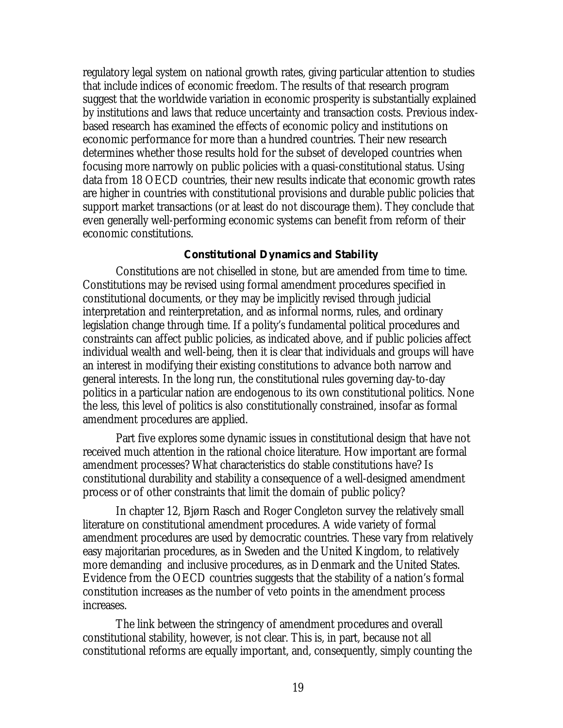regulatory legal system on national growth rates, giving particular attention to studies that include indices of economic freedom. The results of that research program suggest that the worldwide variation in economic prosperity is substantially explained by institutions and laws that reduce uncertainty and transaction costs. Previous indexbased research has examined the effects of economic policy and institutions on economic performance for more than a hundred countries. Their new research determines whether those results hold for the subset of developed countries when focusing more narrowly on public policies with a quasi-constitutional status. Using data from 18 OECD countries, their new results indicate that economic growth rates are higher in countries with constitutional provisions and durable public policies that support market transactions (or at least do not discourage them). They conclude that even generally well-performing economic systems can benefit from reform of their economic constitutions.

## **Constitutional Dynamics and Stability**

Constitutions are not chiselled in stone, but are amended from time to time. Constitutions may be revised using formal amendment procedures specified in constitutional documents, or they may be implicitly revised through judicial interpretation and reinterpretation, and as informal norms, rules, and ordinary legislation change through time. If a polity's fundamental political procedures and constraints can affect public policies, as indicated above, and if public policies affect individual wealth and well-being, then it is clear that individuals and groups will have an interest in modifying their existing constitutions to advance both narrow and general interests. In the long run, the constitutional rules governing day-to-day politics in a particular nation are endogenous to its own constitutional politics. None the less, this level of politics is also constitutionally constrained, insofar as formal amendment procedures are applied.

Part five explores some dynamic issues in constitutional design that have not received much attention in the rational choice literature. How important are formal amendment processes? What characteristics do stable constitutions have? Is constitutional durability and stability a consequence of a well-designed amendment process or of other constraints that limit the domain of public policy?

In chapter 12, Bjørn Rasch and Roger Congleton survey the relatively small literature on constitutional amendment procedures. A wide variety of formal amendment procedures are used by democratic countries. These vary from relatively easy majoritarian procedures, as in Sweden and the United Kingdom, to relatively more demanding and inclusive procedures, as in Denmark and the United States. Evidence from the OECD countries suggests that the stability of a nation's formal constitution increases as the number of veto points in the amendment process increases.

The link between the stringency of amendment procedures and overall constitutional stability, however, is not clear. This is, in part, because not all constitutional reforms are equally important, and, consequently, simply counting the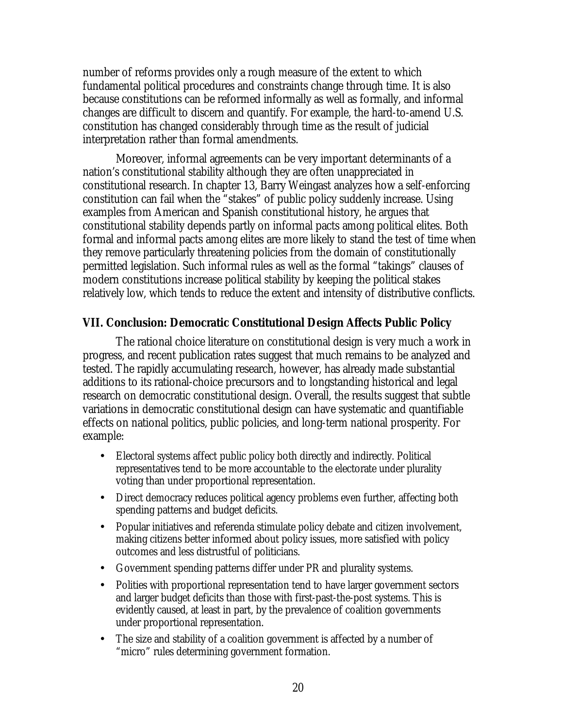number of reforms provides only a rough measure of the extent to which fundamental political procedures and constraints change through time. It is also because constitutions can be reformed informally as well as formally, and informal changes are difficult to discern and quantify. For example, the hard-to-amend U.S. constitution has changed considerably through time as the result of judicial interpretation rather than formal amendments.

Moreover, informal agreements can be very important determinants of a nation's constitutional stability although they are often unappreciated in constitutional research. In chapter 13, Barry Weingast analyzes how a self-enforcing constitution can fail when the "stakes" of public policy suddenly increase. Using examples from American and Spanish constitutional history, he argues that constitutional stability depends partly on informal pacts among political elites. Both formal and informal pacts among elites are more likely to stand the test of time when they remove particularly threatening policies from the domain of constitutionally permitted legislation. Such informal rules as well as the formal "takings" clauses of modern constitutions increase political stability by keeping the political stakes relatively low, which tends to reduce the extent and intensity of distributive conflicts.

# **VII. Conclusion: Democratic Constitutional Design Affects Public Policy**

The rational choice literature on constitutional design is very much a work in progress, and recent publication rates suggest that much remains to be analyzed and tested. The rapidly accumulating research, however, has already made substantial additions to its rational-choice precursors and to longstanding historical and legal research on democratic constitutional design. Overall, the results suggest that subtle variations in democratic constitutional design can have systematic and quantifiable effects on national politics, public policies, and long-term national prosperity. For example:

- Electoral systems affect public policy both directly and indirectly. Political representatives tend to be more accountable to the electorate under plurality voting than under proportional representation.
- Direct democracy reduces political agency problems even further, affecting both spending patterns and budget deficits.
- Popular initiatives and referenda stimulate policy debate and citizen involvement, making citizens better informed about policy issues, more satisfied with policy outcomes and less distrustful of politicians.
- Government spending patterns differ under PR and plurality systems.
- Polities with proportional representation tend to have larger government sectors and larger budget deficits than those with first-past-the-post systems. This is evidently caused, at least in part, by the prevalence of coalition governments under proportional representation.
- The size and stability of a coalition government is affected by a number of "micro" rules determining government formation.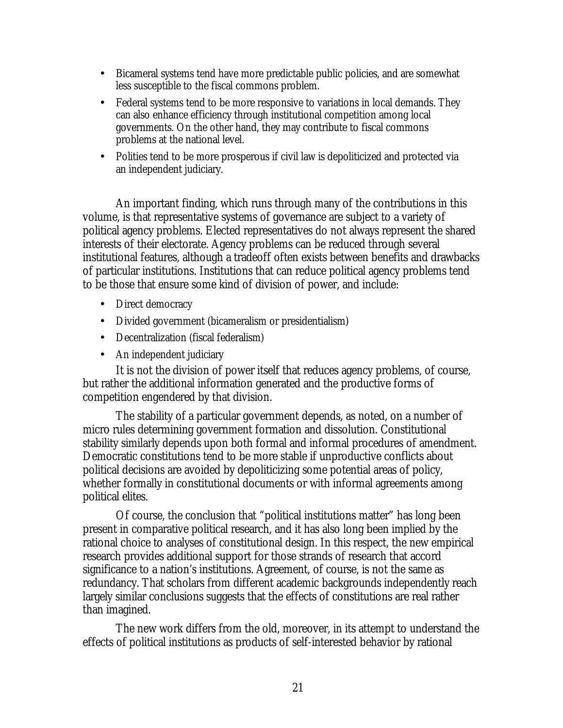- Bicameral systems tend have more predictable public policies, and are somewhat less susceptible to the fiscal commons problem.
- Federal systems tend to be more responsive to variations in local demands. They can also enhance efficiency through institutional competition among local governments. On the other hand, they may contribute to fiscal commons problems at the national level.
- Polities tend to be more prosperous if civil law is depoliticized and protected via an independent judiciary.

An important finding, which runs through many of the contributions in this volume, is that representative systems of governance are subject to a variety of political agency problems. Elected representatives do not always represent the shared interests of their electorate. Agency problems can be reduced through several institutional features, although a tradeoff often exists between benefits and drawbacks of particular institutions. Institutions that can reduce political agency problems tend to be those that ensure some kind of division of power, and include:

- Direct democracy
- Divided government (bicameralism or presidentialism)
- Decentralization (fiscal federalism)
- An independent judiciary

It is not the division of power itself that reduces agency problems, of course, but rather the additional information generated and the productive forms of competition engendered by that division.

The stability of a particular government depends, as noted, on a number of micro rules determining government formation and dissolution. Constitutional stability similarly depends upon both formal and informal procedures of amendment. Democratic constitutions tend to be more stable if unproductive conflicts about political decisions are avoided by depoliticizing some potential areas of policy, whether formally in constitutional documents or with informal agreements among political elites.

Of course, the conclusion that "political institutions matter" has long been present in comparative political research, and it has also long been implied by the rational choice to analyses of constitutional design. In this respect, the new empirical research provides additional support for those strands of research that accord significance to a nation's institutions. Agreement, of course, is not the same as redundancy. That scholars from different academic backgrounds independently reach largely similar conclusions suggests that the effects of constitutions are real rather than imagined.

The new work differs from the old, moreover, in its attempt to understand the effects of political institutions as products of self-interested behavior by rational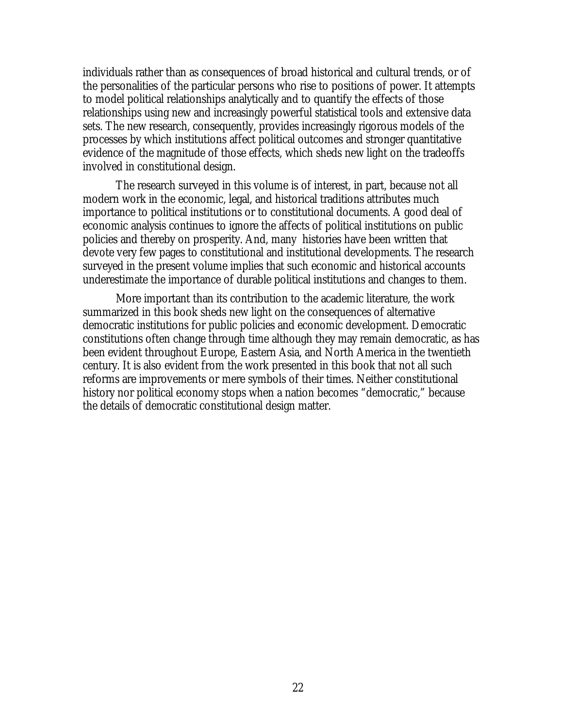individuals rather than as consequences of broad historical and cultural trends, or of the personalities of the particular persons who rise to positions of power. It attempts to model political relationships analytically and to quantify the effects of those relationships using new and increasingly powerful statistical tools and extensive data sets. The new research, consequently, provides increasingly rigorous models of the processes by which institutions affect political outcomes and stronger quantitative evidence of the magnitude of those effects, which sheds new light on the tradeoffs involved in constitutional design.

The research surveyed in this volume is of interest, in part, because not all modern work in the economic, legal, and historical traditions attributes much importance to political institutions or to constitutional documents. A good deal of economic analysis continues to ignore the affects of political institutions on public policies and thereby on prosperity. And, many histories have been written that devote very few pages to constitutional and institutional developments. The research surveyed in the present volume implies that such economic and historical accounts underestimate the importance of durable political institutions and changes to them.

More important than its contribution to the academic literature, the work summarized in this book sheds new light on the consequences of alternative democratic institutions for public policies and economic development. Democratic constitutions often change through time although they may remain democratic, as has been evident throughout Europe, Eastern Asia, and North America in the twentieth century. It is also evident from the work presented in this book that not all such reforms are improvements or mere symbols of their times. Neither constitutional history nor political economy stops when a nation becomes "democratic," because the details of democratic constitutional design matter.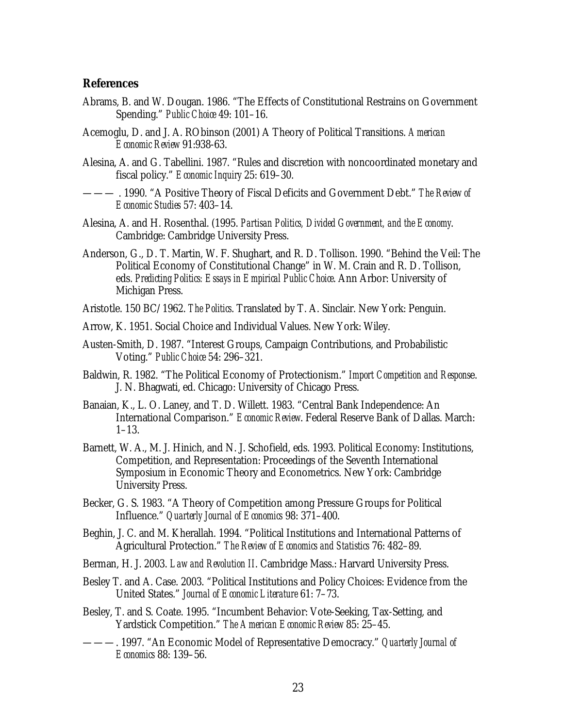### **References**

- Abrams, B. and W. Dougan. 1986. "The Effects of Constitutional Restrains on Government Spending." *Public Choice* 49: 101–16.
- Acemoglu, D. and J. A. RObinson (2001) A Theory of Political Transitions. *American Economic Review* 91:938-63.
- Alesina, A. and G. Tabellini. 1987. "Rules and discretion with noncoordinated monetary and fiscal policy." *Economic Inquiry* 25: 619–30.
- ——— . 1990. "A Positive Theory of Fiscal Deficits and Government Debt." *The Review of Economic Studies* 57: 403–14.
- Alesina, A. and H. Rosenthal. (1995. *Partisan Politics, Divided Government, and the Economy*. Cambridge: Cambridge University Press.
- Anderson, G., D. T. Martin, W. F. Shughart, and R. D. Tollison. 1990. "Behind the Veil: The Political Economy of Constitutional Change" in W. M. Crain and R. D. Tollison, eds. *Predicting Politics: Essays in Empirical Public Choice*. Ann Arbor: University of Michigan Press.
- Aristotle. 150 BC/1962. *The Politics*. Translated by T. A. Sinclair. New York: Penguin.
- Arrow, K. 1951. Social Choice and Individual Values. New York: Wiley.
- Austen-Smith, D. 1987. "Interest Groups, Campaign Contributions, and Probabilistic Voting." *Public Choice* 54: 296–321.
- Baldwin, R. 1982. "The Political Economy of Protectionism." *Import Competition and Respons*e. J. N. Bhagwati, ed. Chicago: University of Chicago Press.
- Banaian, K., L. O. Laney, and T. D. Willett. 1983. "Central Bank Independence: An International Comparison." *Economic Review*. Federal Reserve Bank of Dallas. March: 1–13.
- Barnett, W. A., M. J. Hinich, and N. J. Schofield, eds. 1993. Political Economy: Institutions, Competition, and Representation: Proceedings of the Seventh International Symposium in Economic Theory and Econometrics. New York: Cambridge University Press.
- Becker, G. S. 1983. "A Theory of Competition among Pressure Groups for Political Influence." *Quarterly Journal of Economics* 98: 371–400.
- Beghin, J. C. and M. Kherallah. 1994. "Political Institutions and International Patterns of Agricultural Protection." *The Review of Economics and Statistics* 76: 482–89.
- Berman, H. J. 2003. *Law and Revolution II*. Cambridge Mass.: Harvard University Press.
- Besley T. and A. Case. 2003. "Political Institutions and Policy Choices: Evidence from the United States." *Journal of Economic Literature* 61: 7–73.
- Besley, T. and S. Coate. 1995. "Incumbent Behavior: Vote-Seeking, Tax-Setting, and Yardstick Competition." *The American Economic Review* 85: 25–45.
- ———. 1997. "An Economic Model of Representative Democracy." *Quarterly Journal of Economics* 88: 139–56.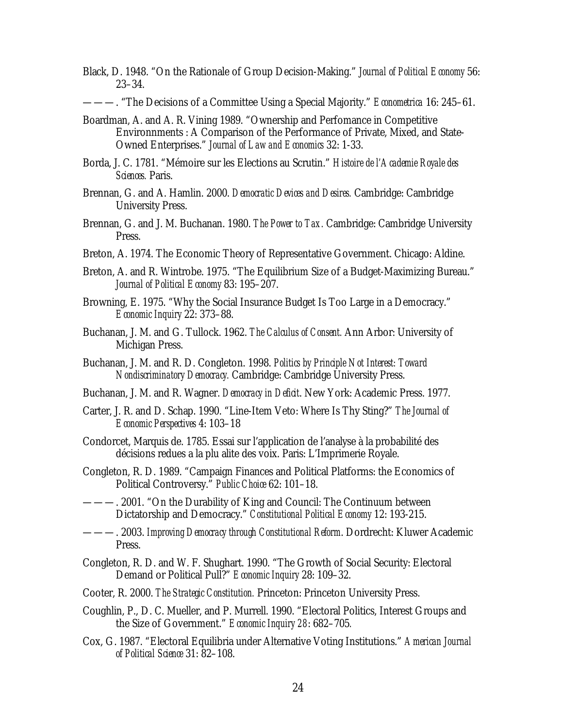Black, D. 1948. "On the Rationale of Group Decision-Making." *Journal of Political Economy* 56: 23–34.

———. "The Decisions of a Committee Using a Special Majority." *Econometrica* 16: 245–61.

- Boardman, A. and A. R. Vining 1989. "Ownership and Perfomance in Competitive Environnments : A Comparison of the Performance of Private, Mixed, and State-Owned Enterprises." *Journal of Law and Economics* 32: 1-33.
- Borda, J. C. 1781. "Mémoire sur les Elections au Scrutin." *Histoire de l'Academie Royale des Sciences.* Paris.
- Brennan, G. and A. Hamlin. 2000. *Democratic Devices and Desires.* Cambridge: Cambridge University Press.
- Brennan, G. and J. M. Buchanan. 1980. *The Power to Tax.* Cambridge: Cambridge University Press.
- Breton, A. 1974. The Economic Theory of Representative Government. Chicago: Aldine.
- Breton, A. and R. Wintrobe. 1975. "The Equilibrium Size of a Budget-Maximizing Bureau." *Journal of Political Economy* 83: 195–207.
- Browning, E. 1975. "Why the Social Insurance Budget Is Too Large in a Democracy." *Economic Inquiry* 22: 373–88.
- Buchanan, J. M. and G. Tullock. 1962. *The Calculus of Consent.* Ann Arbor: University of Michigan Press.
- Buchanan, J. M. and R. D. Congleton. 1998. *Politics by Principle Not Interest: Toward Nondiscriminatory Democracy.* Cambridge: Cambridge University Press.
- Buchanan, J. M. and R. Wagner. *Democracy in Deficit*. New York: Academic Press. 1977.
- Carter, J. R. and D. Schap. 1990. "Line-Item Veto: Where Is Thy Sting?" *The Journal of Economic Perspectives* 4: 103–18
- Condorcet, Marquis de. 1785. Essai sur l'application de l'analyse à la probabilité des décisions redues a la plu alite des voix. Paris: L'Imprimerie Royale.
- Congleton, R. D. 1989. "Campaign Finances and Political Platforms: the Economics of Political Controversy." *Public Choice* 62: 101–18.
- ———. 2001. "On the Durability of King and Council: The Continuum between Dictatorship and Democracy." *Constitutional Political Economy* 12: 193-215.
- ———. 2003. *Improving Democracy through Constitutional Reform*. Dordrecht: Kluwer Academic Press.
- Congleton, R. D. and W. F. Shughart. 1990. "The Growth of Social Security: Electoral Demand or Political Pull?" *Economic Inquiry* 28: 109–32.
- Cooter, R. 2000. *The Strategic Constitution.* Princeton: Princeton University Press.
- Coughlin, P., D. C. Mueller, and P. Murrell. 1990. "Electoral Politics, Interest Groups and the Size of Government." *Economic Inquiry 28*: 682–705*.*
- Cox, G. 1987. "Electoral Equilibria under Alternative Voting Institutions." *American Journal of Political Science* 31: 82–108.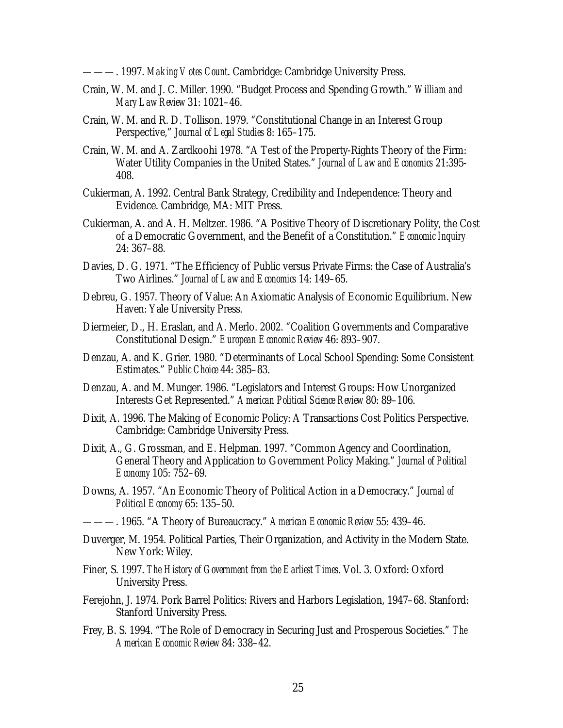———. 1997. *Making Votes Count*. Cambridge: Cambridge University Press.

- Crain, W. M. and J. C. Miller. 1990. "Budget Process and Spending Growth." *William and Mary Law Review* 31: 1021–46.
- Crain, W. M. and R. D. Tollison. 1979. "Constitutional Change in an Interest Group Perspective," *Journal of Legal Studies* 8: 165–175.
- Crain, W. M. and A. Zardkoohi 1978. "A Test of the Property-Rights Theory of the Firm: Water Utility Companies in the United States." *Journal of Law and Economics* 21:395- 408.
- Cukierman, A. 1992. Central Bank Strategy, Credibility and Independence: Theory and Evidence. Cambridge, MA: MIT Press.
- Cukierman, A. and A. H. Meltzer. 1986. "A Positive Theory of Discretionary Polity, the Cost of a Democratic Government, and the Benefit of a Constitution." *Economic Inquiry* 24: 367–88.
- Davies, D. G. 1971. "The Efficiency of Public versus Private Firms: the Case of Australia's Two Airlines." *Journal of Law and Economics* 14: 149–65.
- Debreu, G. 1957. Theory of Value: An Axiomatic Analysis of Economic Equilibrium. New Haven: Yale University Press.
- Diermeier, D., H. Eraslan, and A. Merlo. 2002. "Coalition Governments and Comparative Constitutional Design." *European Economic Review* 46: 893–907.
- Denzau, A. and K. Grier. 1980. "Determinants of Local School Spending: Some Consistent Estimates." *Public Choice* 44: 385–83.
- Denzau, A. and M. Munger. 1986. "Legislators and Interest Groups: How Unorganized Interests Get Represented." *American Political Science Review* 80: 89–106.
- Dixit, A. 1996. The Making of Economic Policy: A Transactions Cost Politics Perspective. Cambridge: Cambridge University Press.
- Dixit, A., G. Grossman, and E. Helpman. 1997. "Common Agency and Coordination, General Theory and Application to Government Policy Making." *Journal of Political Economy* 105: 752–69.
- Downs, A. 1957. "An Economic Theory of Political Action in a Democracy." *Journal of Political Economy* 65: 135–50.
- ———. 1965. "A Theory of Bureaucracy." *American Economic Review* 55: 439–46.
- Duverger, M. 1954. Political Parties, Their Organization, and Activity in the Modern State. New York: Wiley.
- Finer, S. 1997. *The History of Government from the Earliest Times*. Vol. 3. Oxford: Oxford University Press.
- Ferejohn, J. 1974. Pork Barrel Politics: Rivers and Harbors Legislation, 1947–68. Stanford: Stanford University Press.
- Frey, B. S. 1994. "The Role of Democracy in Securing Just and Prosperous Societies." *The American Economic Review* 84: 338–42.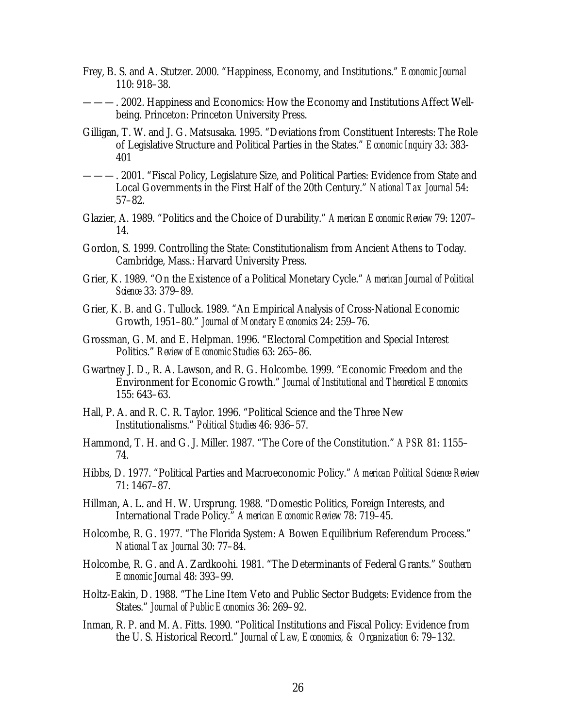- Frey, B. S. and A. Stutzer. 2000. "Happiness, Economy, and Institutions." *Economic Journal*  110: 918–38.
- ———. 2002. Happiness and Economics: How the Economy and Institutions Affect Wellbeing. Princeton: Princeton University Press.
- Gilligan, T. W. and J. G. Matsusaka. 1995. "Deviations from Constituent Interests: The Role of Legislative Structure and Political Parties in the States." *Economic Inquiry* 33: 383- 401
- ———. 2001. "Fiscal Policy, Legislature Size, and Political Parties: Evidence from State and Local Governments in the First Half of the 20th Century." *National Tax Journal* 54: 57–82.
- Glazier, A. 1989. "Politics and the Choice of Durability." *American Economic Review* 79: 1207– 14.
- Gordon, S. 1999. Controlling the State: Constitutionalism from Ancient Athens to Today. Cambridge, Mass.: Harvard University Press.
- Grier, K. 1989. "On the Existence of a Political Monetary Cycle." *American Journal of Political Science* 33: 379–89.
- Grier, K. B. and G. Tullock. 1989. "An Empirical Analysis of Cross-National Economic Growth, 1951–80." *Journal of Monetary Economics* 24: 259–76.
- Grossman, G. M. and E. Helpman. 1996. "Electoral Competition and Special Interest Politics." *Review of Economic Studies* 63: 265–86.
- Gwartney J. D., R. A. Lawson, and R. G. Holcombe. 1999. "Economic Freedom and the Environment for Economic Growth." *Journal of Institutional and Theoretical Economics* 155: 643–63.
- Hall, P. A. and R. C. R. Taylor. 1996. "Political Science and the Three New Institutionalisms." *Political Studies* 46: 936–57.
- Hammond, T. H. and G. J. Miller. 1987. "The Core of the Constitution." *APSR* 81: 1155– 74.
- Hibbs, D. 1977. "Political Parties and Macroeconomic Policy." *American Political Science Review* 71: 1467–87.
- Hillman, A. L. and H. W. Ursprung. 1988. "Domestic Politics, Foreign Interests, and International Trade Policy." *American Economic Review* 78: 719–45.
- Holcombe, R. G. 1977. "The Florida System: A Bowen Equilibrium Referendum Process." *National Tax Journal* 30: 77–84.
- Holcombe, R. G. and A. Zardkoohi. 1981. "The Determinants of Federal Grants." *Southern Economic Journal* 48: 393–99.
- Holtz-Eakin, D. 1988. "The Line Item Veto and Public Sector Budgets: Evidence from the States." *Journal of Public Economics* 36: 269–92.
- Inman, R. P. and M. A. Fitts. 1990. "Political Institutions and Fiscal Policy: Evidence from the U. S. Historical Record." *Journal of Law, Economics, & Organization* 6: 79–132.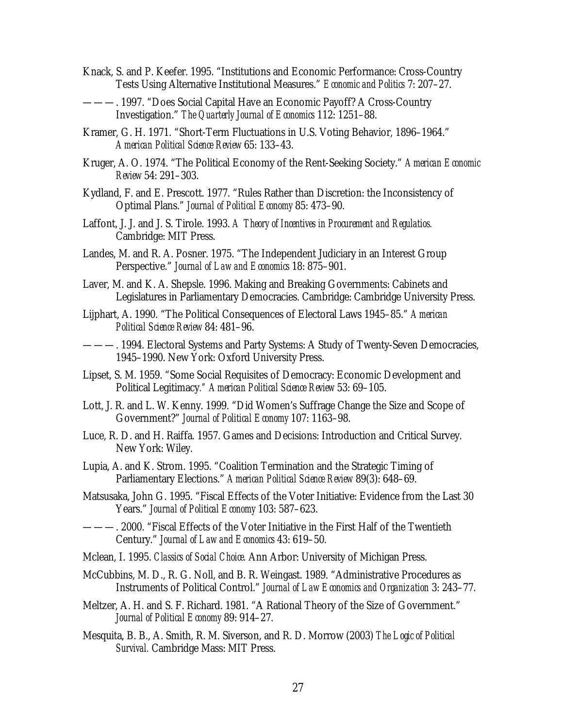- Knack, S. and P. Keefer. 1995. "Institutions and Economic Performance: Cross-Country Tests Using Alternative Institutional Measures." *Economic and Politics* 7: 207–27.
- ———. 1997. "Does Social Capital Have an Economic Payoff? A Cross-Country Investigation." *The Quarterly Journal of Economics* 112: 1251–88.
- Kramer, G. H. 1971. "Short-Term Fluctuations in U.S. Voting Behavior, 1896–1964." *American Political Science Review* 65: 133–43.
- Kruger, A. O. 1974. "The Political Economy of the Rent-Seeking Society." *American Economic Review* 54: 291–303.
- Kydland, F. and E. Prescott. 1977. "Rules Rather than Discretion: the Inconsistency of Optimal Plans." *Journal of Political Economy* 85: 473–90.
- Laffont, J. J. and J. S. Tirole. 1993. *A Theory of Incentives in Procurement and Regulatios.* Cambridge: MIT Press.
- Landes, M. and R. A. Posner. 1975. "The Independent Judiciary in an Interest Group Perspective." *Journal of Law and Economics* 18: 875–901.
- Laver, M. and K. A. Shepsle. 1996. Making and Breaking Governments: Cabinets and Legislatures in Parliamentary Democracies. Cambridge: Cambridge University Press.
- Lijphart, A. 1990. "The Political Consequences of Electoral Laws 1945–85." *American Political Science Review* 84: 481–96.
- ———. 1994. Electoral Systems and Party Systems: A Study of Twenty-Seven Democracies, 1945–1990. New York: Oxford University Press.
- Lipset, S. M. 1959. "Some Social Requisites of Democracy: Economic Development and Political Legitimacy*." American Political Science Review* 53: 69–105.
- Lott, J. R. and L. W. Kenny. 1999. "Did Women's Suffrage Change the Size and Scope of Government?" *Journal of Political Economy* 107: 1163–98.
- Luce, R. D. and H. Raiffa. 1957. Games and Decisions: Introduction and Critical Survey. New York: Wiley.
- Lupia, A. and K. Strom. 1995. "Coalition Termination and the Strategic Timing of Parliamentary Elections." *American Political Science Review* 89(3): 648–69.
- Matsusaka, John G. 1995. "Fiscal Effects of the Voter Initiative: Evidence from the Last 30 Years." *Journal of Political Economy* 103: 587–623.
- ———. 2000. "Fiscal Effects of the Voter Initiative in the First Half of the Twentieth Century." *Journal of Law and Economics* 43: 619–50.
- Mclean, I. 1995. *Classics of Social Choice.* Ann Arbor: University of Michigan Press.
- McCubbins, M. D., R. G. Noll, and B. R. Weingast. 1989. "Administrative Procedures as Instruments of Political Control." *Journal of Law Economics and Organization* 3: 243–77.
- Meltzer, A. H. and S. F. Richard. 1981. "A Rational Theory of the Size of Government." *Journal of Political Economy* 89: 914–27.
- Mesquita, B. B., A. Smith, R. M. Siverson, and R. D. Morrow (2003) *The Logic of Political Survival.* Cambridge Mass: MIT Press.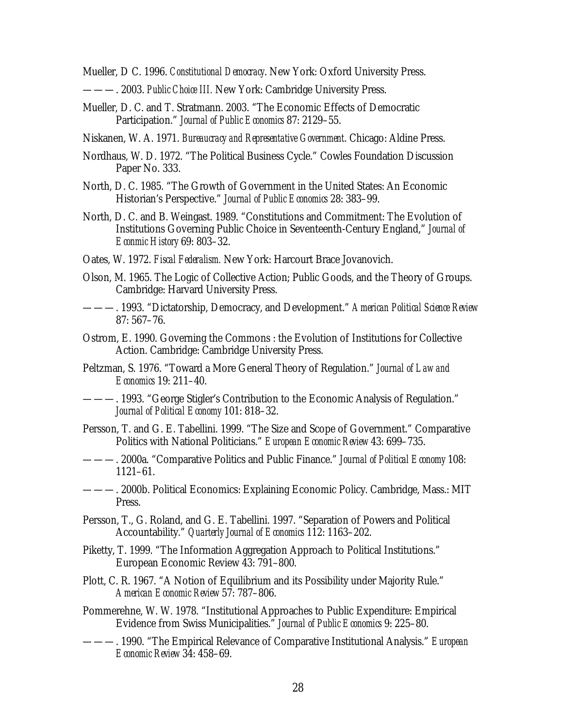Mueller, D C. 1996. *Constitutional Democracy*. New York: Oxford University Press.

- ———. 2003. *Public Choice III.* New York: Cambridge University Press.
- Mueller, D. C. and T. Stratmann. 2003. "The Economic Effects of Democratic Participation." *Journal of Public Economics* 87: 2129–55.
- Niskanen, W. A. 1971. *Bureaucracy and Representative Government*. Chicago: Aldine Press.
- Nordhaus, W. D. 1972. "The Political Business Cycle." Cowles Foundation Discussion Paper No. 333.
- North, D. C. 1985. "The Growth of Government in the United States: An Economic Historian's Perspective." *Journal of Public Economics* 28: 383–99.
- North, D. C. and B. Weingast. 1989. "Constitutions and Commitment: The Evolution of Institutions Governing Public Choice in Seventeenth-Century England," *Journal of Econmic History* 69: 803–32.
- Oates, W. 1972. *Fiscal Federalism.* New York: Harcourt Brace Jovanovich.
- Olson, M. 1965. The Logic of Collective Action; Public Goods, and the Theory of Groups. Cambridge: Harvard University Press.
- ———. 1993. "Dictatorship, Democracy, and Development." *American Political Science Review* 87: 567–76.
- Ostrom, E. 1990. Governing the Commons : the Evolution of Institutions for Collective Action. Cambridge: Cambridge University Press.
- Peltzman, S. 1976. "Toward a More General Theory of Regulation." *Journal of Law and Economics* 19: 211–40.
- ———. 1993. "George Stigler's Contribution to the Economic Analysis of Regulation." *Journal of Political Economy* 101: 818–32.
- Persson, T. and G. E. Tabellini. 1999. "The Size and Scope of Government." Comparative Politics with National Politicians." *European Economic Review* 43: 699–735.
- ———. 2000a. "Comparative Politics and Public Finance." *Journal of Political Economy* 108: 1121–61.
- ———. 2000b. Political Economics: Explaining Economic Policy. Cambridge, Mass.: MIT Press.
- Persson, T., G. Roland, and G. E. Tabellini. 1997. "Separation of Powers and Political Accountability." *Quarterly Journal of Economics* 112: 1163–202.
- Piketty, T. 1999. "The Information Aggregation Approach to Political Institutions." European Economic Review 43: 791–800.
- Plott, C. R. 1967. "A Notion of Equilibrium and its Possibility under Majority Rule." *American Economic Review* 57: 787–806.
- Pommerehne, W. W. 1978. "Institutional Approaches to Public Expenditure: Empirical Evidence from Swiss Municipalities." *Journal of Public Economics* 9: 225–80.
- ———. 1990. "The Empirical Relevance of Comparative Institutional Analysis." *European Economic Review* 34: 458–69.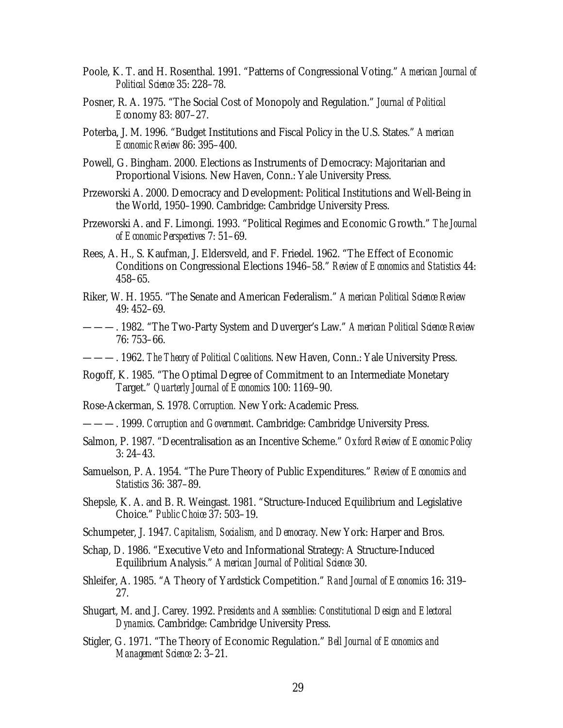- Poole, K. T. and H. Rosenthal. 1991. "Patterns of Congressional Voting." *American Journal of Political Science* 35: 228–78.
- Posner, R. A. 1975. "The Social Cost of Monopoly and Regulation." *Journal of Political Ec*onomy 83: 807–27.
- Poterba, J. M. 1996. "Budget Institutions and Fiscal Policy in the U.S. States." *American Economic Review* 86: 395–400.
- Powell, G. Bingham. 2000. Elections as Instruments of Democracy: Majoritarian and Proportional Visions. New Haven, Conn.: Yale University Press.
- Przeworski A. 2000. Democracy and Development: Political Institutions and Well-Being in the World, 1950–1990. Cambridge: Cambridge University Press.
- Przeworski A. and F. Limongi. 1993. "Political Regimes and Economic Growth." *The Journal of Economic Perspectives* 7: 51–69.
- Rees, A. H., S. Kaufman, J. Eldersveld, and F. Friedel. 1962. "The Effect of Economic Conditions on Congressional Elections 1946–58." *Review of Economics and Statistics* 44: 458–65.
- Riker, W. H. 1955. "The Senate and American Federalism." *American Political Science Review* 49: 452–69.
- ———. 1982. "The Two-Party System and Duverger's Law." *American Political Science Review* 76: 753–66.
- ———. 1962. *The Theory of Political Coalitions*. New Haven, Conn.: Yale University Press.
- Rogoff, K. 1985. "The Optimal Degree of Commitment to an Intermediate Monetary Target." *Quarterly Journal of Economics* 100: 1169–90.
- Rose-Ackerman, S. 1978. *Corruption.* New York: Academic Press.
- ———. 1999. *Corruption and Government*. Cambridge: Cambridge University Press.
- Salmon, P. 1987. "Decentralisation as an Incentive Scheme." *Oxford Review of Economic Policy* 3: 24–43.
- Samuelson, P. A. 1954. "The Pure Theory of Public Expenditures." *Review of Economics and Statistics* 36: 387–89.
- Shepsle, K. A. and B. R. Weingast. 1981. "Structure-Induced Equilibrium and Legislative Choice." *Public Choice* 37: 503–19.
- Schumpeter, J. 1947. *Capitalism, Socialism, and Democracy*. New York: Harper and Bros.
- Schap, D. 1986. "Executive Veto and Informational Strategy: A Structure-Induced Equilibrium Analysis." *American Journal of Political Science* 30.
- Shleifer, A. 1985. "A Theory of Yardstick Competition." *Rand Journal of Economics* 16: 319– 27.
- Shugart, M. and J. Carey. 1992. *Presidents and Assemblies: Constitutional Design and Electoral Dynamics*. Cambridge: Cambridge University Press.
- Stigler, G. 1971. "The Theory of Economic Regulation." *Bell Journal of Economics and Management Science* 2: 3–21.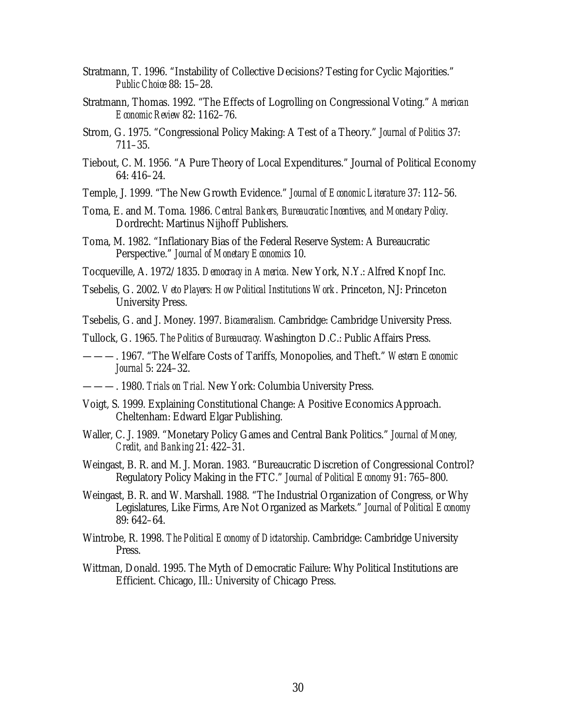- Stratmann, T. 1996. "Instability of Collective Decisions? Testing for Cyclic Majorities." *Public Choice* 88: 15–28.
- Stratmann, Thomas. 1992. "The Effects of Logrolling on Congressional Voting." *American Economic Review* 82: 1162–76.
- Strom, G. 1975. "Congressional Policy Making: A Test of a Theory." *Journal of Politics* 37: 711–35.
- Tiebout, C. M. 1956. "A Pure Theory of Local Expenditures." Journal of Political Economy 64: 416–24.
- Temple, J. 1999. "The New Growth Evidence." *Journal of Economic Literature* 37: 112–56.
- Toma, E. and M. Toma. 1986. *Central Bankers, Bureaucratic Incentives, and Monetary Policy*. Dordrecht: Martinus Nijhoff Publishers.
- Toma, M. 1982. "Inflationary Bias of the Federal Reserve System: A Bureaucratic Perspective." *Journal of Monetary Economics* 10.
- Tocqueville, A. 1972/1835. *Democracy in America.* New York, N.Y.: Alfred Knopf Inc.
- Tsebelis, G. 2002. *Veto Players: How Political Institutions Work*. Princeton, NJ: Princeton University Press.

Tsebelis, G. and J. Money. 1997. *Bicameralism.* Cambridge: Cambridge University Press.

- Tullock, G. 1965. *The Politics of Bureaucracy.* Washington D.C.: Public Affairs Press.
- ———. 1967. "The Welfare Costs of Tariffs, Monopolies, and Theft." *Western Economic Journal* 5: 224–32.
- ———. 1980. *Trials on Trial.* New York: Columbia University Press.
- Voigt, S. 1999. Explaining Constitutional Change: A Positive Economics Approach. Cheltenham: Edward Elgar Publishing.
- Waller, C. J. 1989. "Monetary Policy Games and Central Bank Politics." *Journal of Money, Credit, and Banking* 21: 422–31.
- Weingast, B. R. and M. J. Moran. 1983. "Bureaucratic Discretion of Congressional Control? Regulatory Policy Making in the FTC." *Journal of Political Economy* 91: 765–800.
- Weingast, B. R. and W. Marshall. 1988. "The Industrial Organization of Congress, or Why Legislatures, Like Firms, Are Not Organized as Markets." *Journal of Political Economy* 89: 642–64.
- Wintrobe, R. 1998. *The Political Economy of Dictatorship*. Cambridge: Cambridge University Press.
- Wittman, Donald. 1995. The Myth of Democratic Failure: Why Political Institutions are Efficient. Chicago, Ill.: University of Chicago Press.